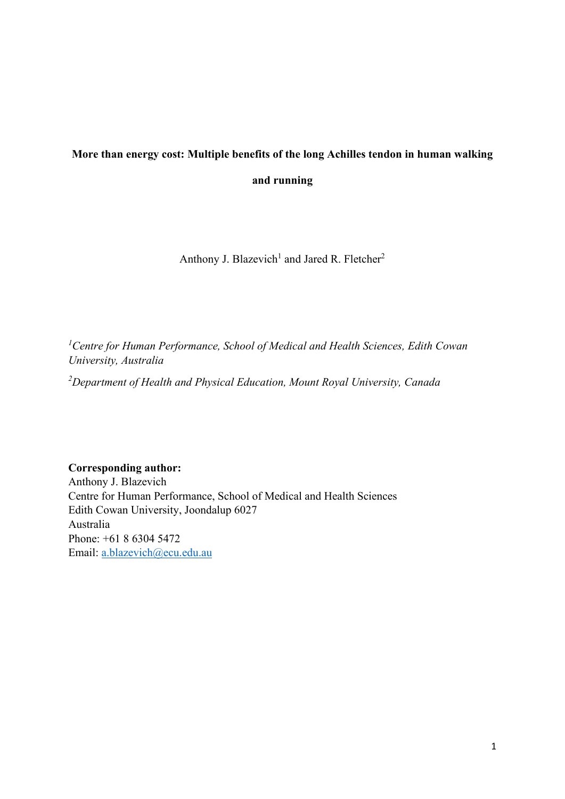# **More than energy cost: Multiple benefits of the long Achilles tendon in human walking and running**

Anthony J. Blazevich<sup>1</sup> and Jared R. Fletcher<sup>2</sup>

*<sup>1</sup>Centre for Human Performance, School of Medical and Health Sciences, Edith Cowan University, Australia* 

*<sup>2</sup>Department of Health and Physical Education, Mount Royal University, Canada* 

## **Corresponding author:**

Anthony J. Blazevich Centre for Human Performance, School of Medical and Health Sciences Edith Cowan University, Joondalup 6027 Australia Phone: +61 8 6304 5472 Email: a.blazevich@ecu.edu.au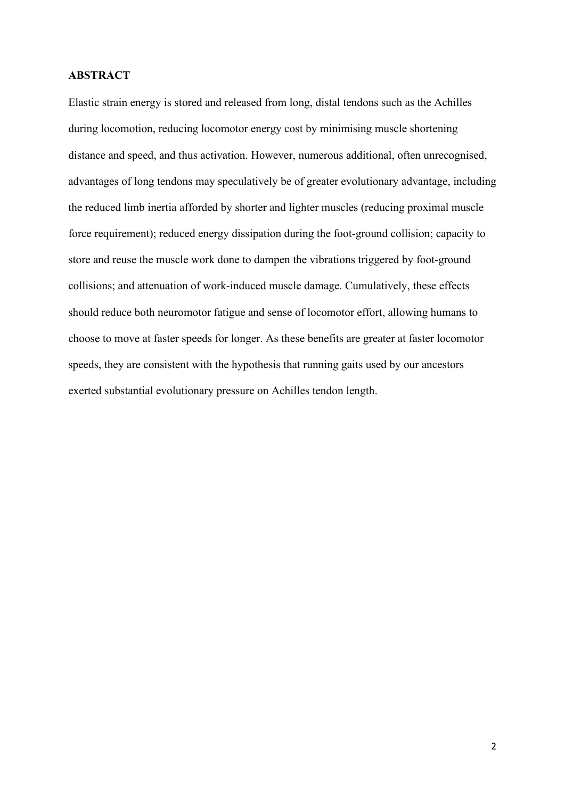## **ABSTRACT**

Elastic strain energy is stored and released from long, distal tendons such as the Achilles during locomotion, reducing locomotor energy cost by minimising muscle shortening distance and speed, and thus activation. However, numerous additional, often unrecognised, advantages of long tendons may speculatively be of greater evolutionary advantage, including the reduced limb inertia afforded by shorter and lighter muscles (reducing proximal muscle force requirement); reduced energy dissipation during the foot-ground collision; capacity to store and reuse the muscle work done to dampen the vibrations triggered by foot-ground collisions; and attenuation of work-induced muscle damage. Cumulatively, these effects should reduce both neuromotor fatigue and sense of locomotor effort, allowing humans to choose to move at faster speeds for longer. As these benefits are greater at faster locomotor speeds, they are consistent with the hypothesis that running gaits used by our ancestors exerted substantial evolutionary pressure on Achilles tendon length.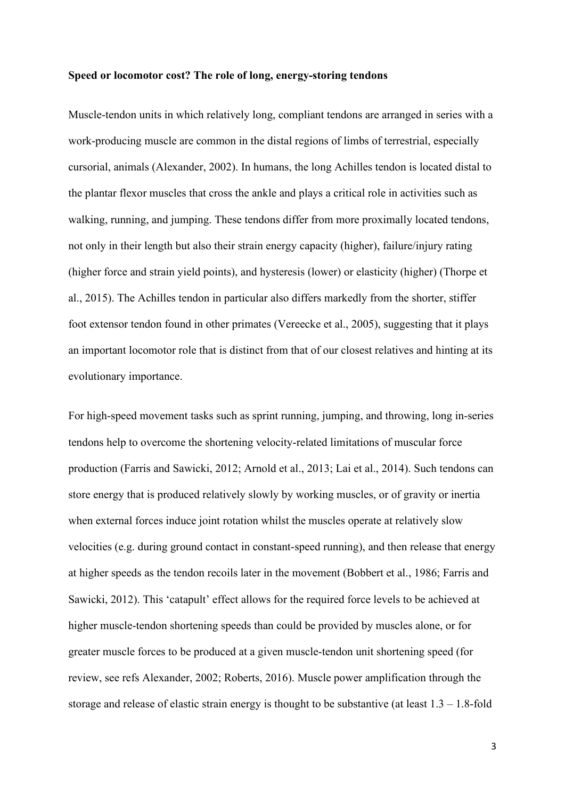#### **Speed or locomotor cost? The role of long, energy-storing tendons**

Muscle-tendon units in which relatively long, compliant tendons are arranged in series with a work-producing muscle are common in the distal regions of limbs of terrestrial, especially cursorial, animals (Alexander, 2002). In humans, the long Achilles tendon is located distal to the plantar flexor muscles that cross the ankle and plays a critical role in activities such as walking, running, and jumping. These tendons differ from more proximally located tendons, not only in their length but also their strain energy capacity (higher), failure/injury rating (higher force and strain yield points), and hysteresis (lower) or elasticity (higher) (Thorpe et al., 2015). The Achilles tendon in particular also differs markedly from the shorter, stiffer foot extensor tendon found in other primates (Vereecke et al., 2005), suggesting that it plays an important locomotor role that is distinct from that of our closest relatives and hinting at its evolutionary importance.

For high-speed movement tasks such as sprint running, jumping, and throwing, long in-series tendons help to overcome the shortening velocity-related limitations of muscular force production (Farris and Sawicki, 2012; Arnold et al., 2013; Lai et al., 2014). Such tendons can store energy that is produced relatively slowly by working muscles, or of gravity or inertia when external forces induce joint rotation whilst the muscles operate at relatively slow velocities (e.g. during ground contact in constant-speed running), and then release that energy at higher speeds as the tendon recoils later in the movement (Bobbert et al., 1986; Farris and Sawicki, 2012). This 'catapult' effect allows for the required force levels to be achieved at higher muscle-tendon shortening speeds than could be provided by muscles alone, or for greater muscle forces to be produced at a given muscle-tendon unit shortening speed (for review, see refs Alexander, 2002; Roberts, 2016). Muscle power amplification through the storage and release of elastic strain energy is thought to be substantive (at least  $1.3 - 1.8$ -fold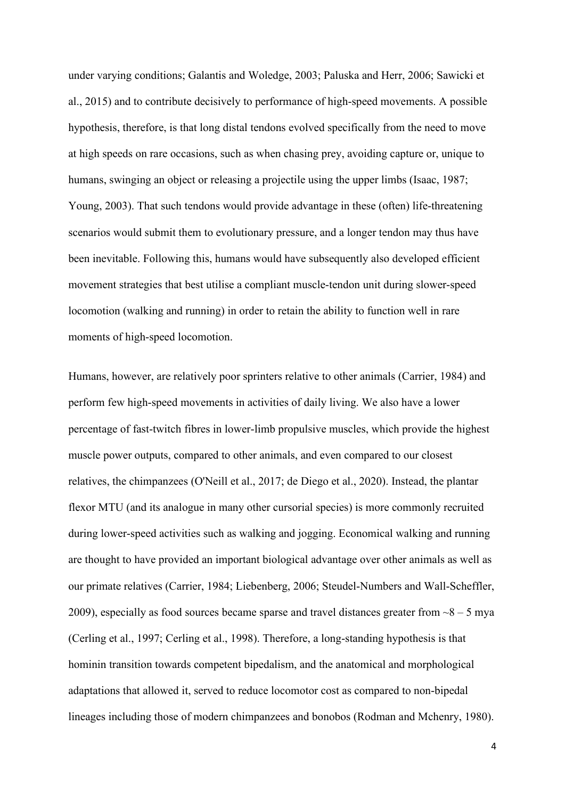under varying conditions; Galantis and Woledge, 2003; Paluska and Herr, 2006; Sawicki et al., 2015) and to contribute decisively to performance of high-speed movements. A possible hypothesis, therefore, is that long distal tendons evolved specifically from the need to move at high speeds on rare occasions, such as when chasing prey, avoiding capture or, unique to humans, swinging an object or releasing a projectile using the upper limbs (Isaac, 1987; Young, 2003). That such tendons would provide advantage in these (often) life-threatening scenarios would submit them to evolutionary pressure, and a longer tendon may thus have been inevitable. Following this, humans would have subsequently also developed efficient movement strategies that best utilise a compliant muscle-tendon unit during slower-speed locomotion (walking and running) in order to retain the ability to function well in rare moments of high-speed locomotion.

Humans, however, are relatively poor sprinters relative to other animals (Carrier, 1984) and perform few high-speed movements in activities of daily living. We also have a lower percentage of fast-twitch fibres in lower-limb propulsive muscles, which provide the highest muscle power outputs, compared to other animals, and even compared to our closest relatives, the chimpanzees (O'Neill et al., 2017; de Diego et al., 2020). Instead, the plantar flexor MTU (and its analogue in many other cursorial species) is more commonly recruited during lower-speed activities such as walking and jogging. Economical walking and running are thought to have provided an important biological advantage over other animals as well as our primate relatives (Carrier, 1984; Liebenberg, 2006; Steudel-Numbers and Wall-Scheffler, 2009), especially as food sources became sparse and travel distances greater from  $\sim8-5$  mya (Cerling et al., 1997; Cerling et al., 1998). Therefore, a long-standing hypothesis is that hominin transition towards competent bipedalism, and the anatomical and morphological adaptations that allowed it, served to reduce locomotor cost as compared to non-bipedal lineages including those of modern chimpanzees and bonobos (Rodman and Mchenry, 1980).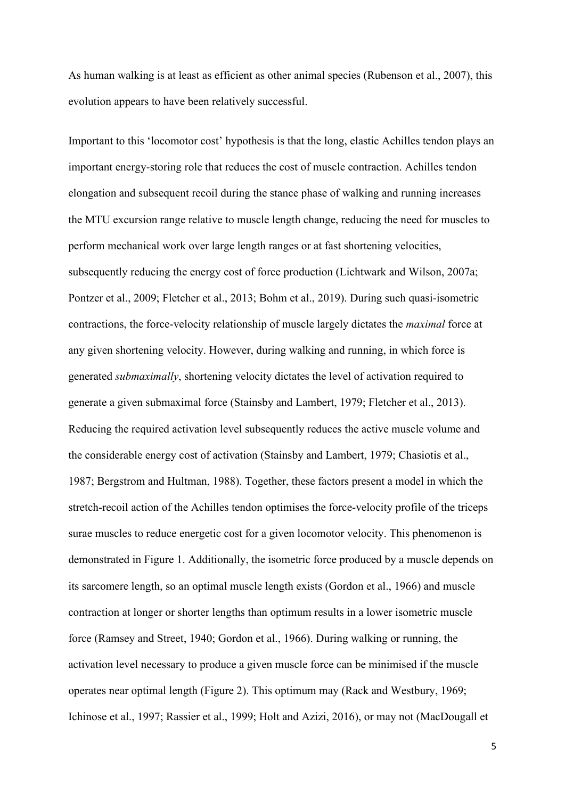As human walking is at least as efficient as other animal species (Rubenson et al., 2007), this evolution appears to have been relatively successful.

Important to this 'locomotor cost' hypothesis is that the long, elastic Achilles tendon plays an important energy-storing role that reduces the cost of muscle contraction. Achilles tendon elongation and subsequent recoil during the stance phase of walking and running increases the MTU excursion range relative to muscle length change, reducing the need for muscles to perform mechanical work over large length ranges or at fast shortening velocities, subsequently reducing the energy cost of force production (Lichtwark and Wilson, 2007a; Pontzer et al., 2009; Fletcher et al., 2013; Bohm et al., 2019). During such quasi-isometric contractions, the force-velocity relationship of muscle largely dictates the *maximal* force at any given shortening velocity. However, during walking and running, in which force is generated *submaximally*, shortening velocity dictates the level of activation required to generate a given submaximal force (Stainsby and Lambert, 1979; Fletcher et al., 2013). Reducing the required activation level subsequently reduces the active muscle volume and the considerable energy cost of activation (Stainsby and Lambert, 1979; Chasiotis et al., 1987; Bergstrom and Hultman, 1988). Together, these factors present a model in which the stretch-recoil action of the Achilles tendon optimises the force-velocity profile of the triceps surae muscles to reduce energetic cost for a given locomotor velocity. This phenomenon is demonstrated in Figure 1. Additionally, the isometric force produced by a muscle depends on its sarcomere length, so an optimal muscle length exists (Gordon et al., 1966) and muscle contraction at longer or shorter lengths than optimum results in a lower isometric muscle force (Ramsey and Street, 1940; Gordon et al., 1966). During walking or running, the activation level necessary to produce a given muscle force can be minimised if the muscle operates near optimal length (Figure 2). This optimum may (Rack and Westbury, 1969; Ichinose et al., 1997; Rassier et al., 1999; Holt and Azizi, 2016), or may not (MacDougall et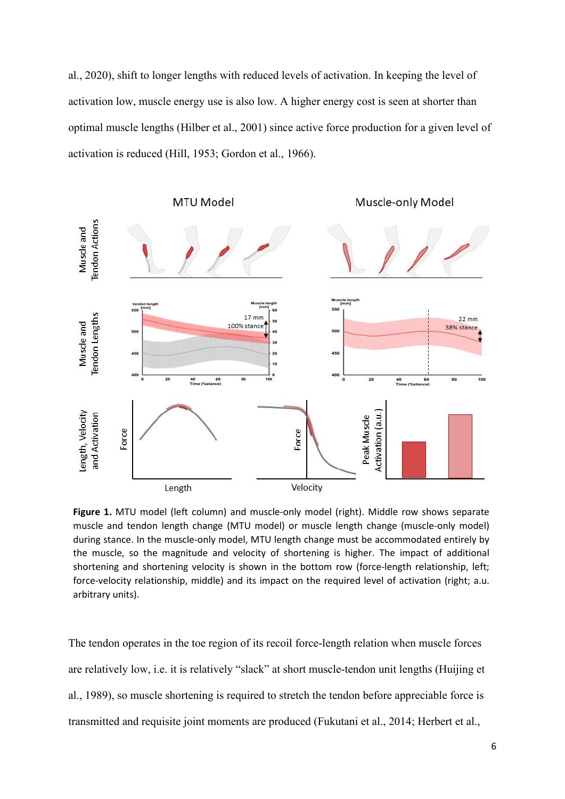al., 2020), shift to longer lengths with reduced levels of activation. In keeping the level of activation low, muscle energy use is also low. A higher energy cost is seen at shorter than optimal muscle lengths (Hilber et al., 2001) since active force production for a given level of activation is reduced (Hill, 1953; Gordon et al., 1966).



Figure 1. MTU model (left column) and muscle-only model (right). Middle row shows separate muscle and tendon length change (MTU model) or muscle length change (muscle-only model) during stance. In the muscle-only model, MTU length change must be accommodated entirely by the muscle, so the magnitude and velocity of shortening is higher. The impact of additional shortening and shortening velocity is shown in the bottom row (force-length relationship, left; force-velocity relationship, middle) and its impact on the required level of activation (right; a.u. arbitrary units).

The tendon operates in the toe region of its recoil force-length relation when muscle forces are relatively low, i.e. it is relatively "slack" at short muscle-tendon unit lengths (Huijing et al., 1989), so muscle shortening is required to stretch the tendon before appreciable force is transmitted and requisite joint moments are produced (Fukutani et al., 2014; Herbert et al.,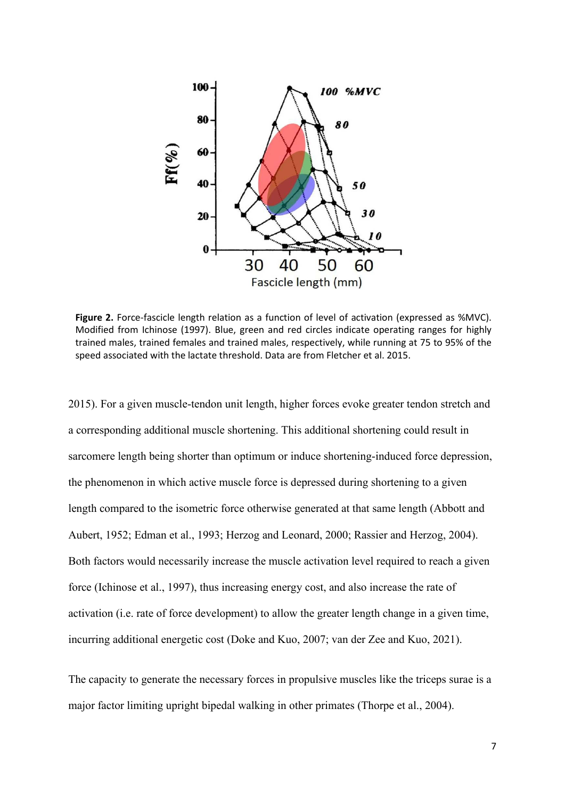

**Figure 2.** Force-fascicle length relation as a function of level of activation (expressed as %MVC). Modified from Ichinose (1997). Blue, green and red circles indicate operating ranges for highly trained males, trained females and trained males, respectively, while running at 75 to 95% of the speed associated with the lactate threshold. Data are from Fletcher et al. 2015.

2015). For a given muscle-tendon unit length, higher forces evoke greater tendon stretch and a corresponding additional muscle shortening. This additional shortening could result in sarcomere length being shorter than optimum or induce shortening-induced force depression, the phenomenon in which active muscle force is depressed during shortening to a given length compared to the isometric force otherwise generated at that same length (Abbott and Aubert, 1952; Edman et al., 1993; Herzog and Leonard, 2000; Rassier and Herzog, 2004). Both factors would necessarily increase the muscle activation level required to reach a given force (Ichinose et al., 1997), thus increasing energy cost, and also increase the rate of activation (i.e. rate of force development) to allow the greater length change in a given time, incurring additional energetic cost (Doke and Kuo, 2007; van der Zee and Kuo, 2021).

The capacity to generate the necessary forces in propulsive muscles like the triceps surae is a major factor limiting upright bipedal walking in other primates (Thorpe et al., 2004).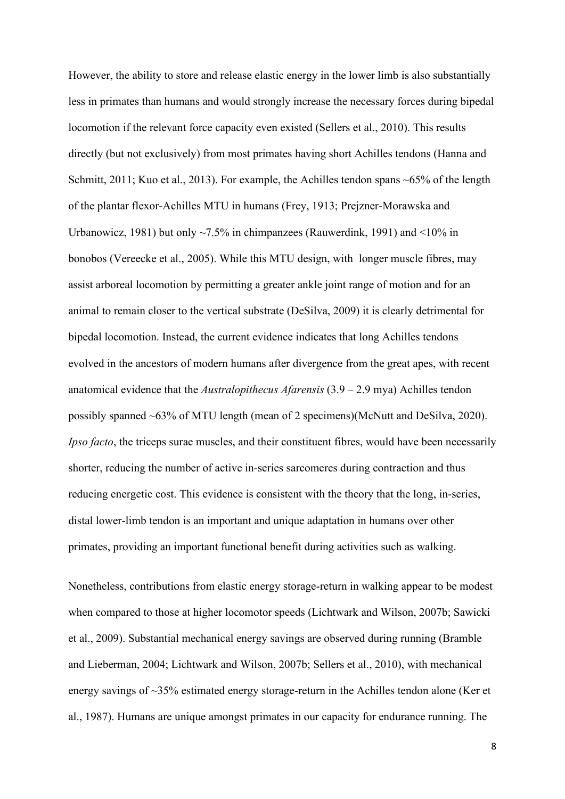However, the ability to store and release elastic energy in the lower limb is also substantially less in primates than humans and would strongly increase the necessary forces during bipedal locomotion if the relevant force capacity even existed (Sellers et al., 2010). This results directly (but not exclusively) from most primates having short Achilles tendons (Hanna and Schmitt, 2011; Kuo et al., 2013). For example, the Achilles tendon spans ~65% of the length of the plantar flexor-Achilles MTU in humans (Frey, 1913; Prejzner-Morawska and Urbanowicz, 1981) but only ~7.5% in chimpanzees (Rauwerdink, 1991) and <10% in bonobos (Vereecke et al., 2005). While this MTU design, with longer muscle fibres, may assist arboreal locomotion by permitting a greater ankle joint range of motion and for an animal to remain closer to the vertical substrate (DeSilva, 2009) it is clearly detrimental for bipedal locomotion. Instead, the current evidence indicates that long Achilles tendons evolved in the ancestors of modern humans after divergence from the great apes, with recent anatomical evidence that the *Australopithecus Afarensis* (3.9 – 2.9 mya) Achilles tendon possibly spanned ~63% of MTU length (mean of 2 specimens)(McNutt and DeSilva, 2020). *Ipso facto*, the triceps surae muscles, and their constituent fibres, would have been necessarily shorter, reducing the number of active in-series sarcomeres during contraction and thus reducing energetic cost. This evidence is consistent with the theory that the long, in-series, distal lower-limb tendon is an important and unique adaptation in humans over other primates, providing an important functional benefit during activities such as walking.

Nonetheless, contributions from elastic energy storage-return in walking appear to be modest when compared to those at higher locomotor speeds (Lichtwark and Wilson, 2007b; Sawicki et al., 2009). Substantial mechanical energy savings are observed during running (Bramble and Lieberman, 2004; Lichtwark and Wilson, 2007b; Sellers et al., 2010), with mechanical energy savings of ~35% estimated energy storage-return in the Achilles tendon alone (Ker et al., 1987). Humans are unique amongst primates in our capacity for endurance running. The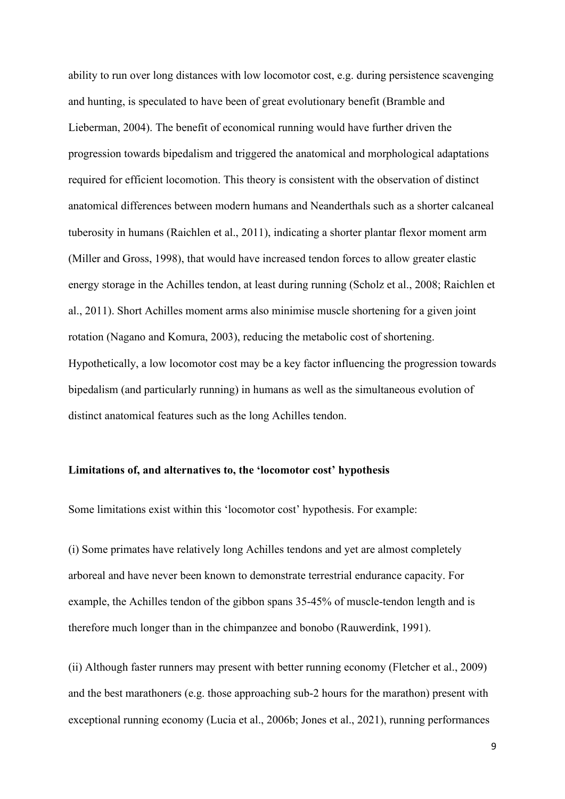ability to run over long distances with low locomotor cost, e.g. during persistence scavenging and hunting, is speculated to have been of great evolutionary benefit (Bramble and Lieberman, 2004). The benefit of economical running would have further driven the progression towards bipedalism and triggered the anatomical and morphological adaptations required for efficient locomotion. This theory is consistent with the observation of distinct anatomical differences between modern humans and Neanderthals such as a shorter calcaneal tuberosity in humans (Raichlen et al., 2011), indicating a shorter plantar flexor moment arm (Miller and Gross, 1998), that would have increased tendon forces to allow greater elastic energy storage in the Achilles tendon, at least during running (Scholz et al., 2008; Raichlen et al., 2011). Short Achilles moment arms also minimise muscle shortening for a given joint rotation (Nagano and Komura, 2003), reducing the metabolic cost of shortening. Hypothetically, a low locomotor cost may be a key factor influencing the progression towards bipedalism (and particularly running) in humans as well as the simultaneous evolution of distinct anatomical features such as the long Achilles tendon.

#### **Limitations of, and alternatives to, the 'locomotor cost' hypothesis**

Some limitations exist within this 'locomotor cost' hypothesis. For example:

(i) Some primates have relatively long Achilles tendons and yet are almost completely arboreal and have never been known to demonstrate terrestrial endurance capacity. For example, the Achilles tendon of the gibbon spans 35-45% of muscle-tendon length and is therefore much longer than in the chimpanzee and bonobo (Rauwerdink, 1991).

(ii) Although faster runners may present with better running economy (Fletcher et al., 2009) and the best marathoners (e.g. those approaching sub-2 hours for the marathon) present with exceptional running economy (Lucia et al., 2006b; Jones et al., 2021), running performances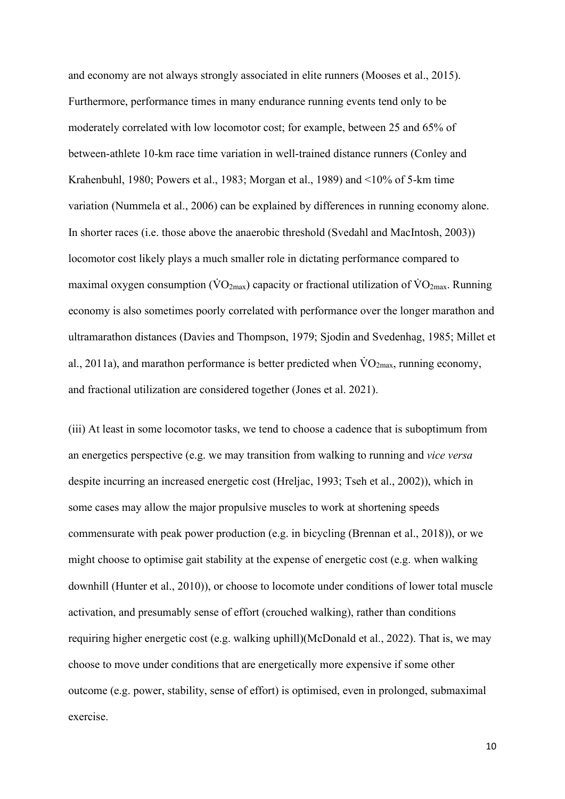and economy are not always strongly associated in elite runners (Mooses et al., 2015). Furthermore, performance times in many endurance running events tend only to be moderately correlated with low locomotor cost; for example, between 25 and 65% of between-athlete 10-km race time variation in well-trained distance runners (Conley and Krahenbuhl, 1980; Powers et al., 1983; Morgan et al., 1989) and <10% of 5-km time variation (Nummela et al., 2006) can be explained by differences in running economy alone. In shorter races (i.e. those above the anaerobic threshold (Svedahl and MacIntosh, 2003)) locomotor cost likely plays a much smaller role in dictating performance compared to maximal oxygen consumption ( $\rm\dot{VO}_{2max}$ ) capacity or fractional utilization of  $\rm\dot{VO}_{2max}$ . Running economy is also sometimes poorly correlated with performance over the longer marathon and ultramarathon distances (Davies and Thompson, 1979; Sjodin and Svedenhag, 1985; Millet et al., 2011a), and marathon performance is better predicted when  $\rm \dot{VO}_{2max}$ , running economy, and fractional utilization are considered together (Jones et al. 2021).

(iii) At least in some locomotor tasks, we tend to choose a cadence that is suboptimum from an energetics perspective (e.g. we may transition from walking to running and *vice versa* despite incurring an increased energetic cost (Hreljac, 1993; Tseh et al., 2002)), which in some cases may allow the major propulsive muscles to work at shortening speeds commensurate with peak power production (e.g. in bicycling (Brennan et al., 2018)), or we might choose to optimise gait stability at the expense of energetic cost (e.g. when walking downhill (Hunter et al., 2010)), or choose to locomote under conditions of lower total muscle activation, and presumably sense of effort (crouched walking), rather than conditions requiring higher energetic cost (e.g. walking uphill)(McDonald et al., 2022). That is, we may choose to move under conditions that are energetically more expensive if some other outcome (e.g. power, stability, sense of effort) is optimised, even in prolonged, submaximal exercise.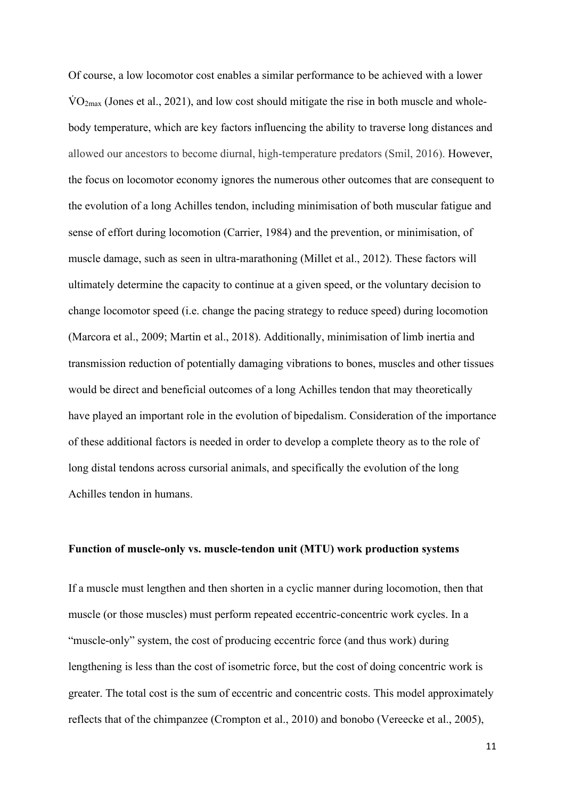Of course, a low locomotor cost enables a similar performance to be achieved with a lower  $\text{VO}_\text{2max}$  (Jones et al., 2021), and low cost should mitigate the rise in both muscle and wholebody temperature, which are key factors influencing the ability to traverse long distances and allowed our ancestors to become diurnal, high-temperature predators (Smil, 2016). However, the focus on locomotor economy ignores the numerous other outcomes that are consequent to the evolution of a long Achilles tendon, including minimisation of both muscular fatigue and sense of effort during locomotion (Carrier, 1984) and the prevention, or minimisation, of muscle damage, such as seen in ultra-marathoning (Millet et al., 2012). These factors will ultimately determine the capacity to continue at a given speed, or the voluntary decision to change locomotor speed (i.e. change the pacing strategy to reduce speed) during locomotion (Marcora et al., 2009; Martin et al., 2018). Additionally, minimisation of limb inertia and transmission reduction of potentially damaging vibrations to bones, muscles and other tissues would be direct and beneficial outcomes of a long Achilles tendon that may theoretically have played an important role in the evolution of bipedalism. Consideration of the importance of these additional factors is needed in order to develop a complete theory as to the role of long distal tendons across cursorial animals, and specifically the evolution of the long Achilles tendon in humans.

## **Function of muscle-only vs. muscle-tendon unit (MTU) work production systems**

If a muscle must lengthen and then shorten in a cyclic manner during locomotion, then that muscle (or those muscles) must perform repeated eccentric-concentric work cycles. In a "muscle-only" system, the cost of producing eccentric force (and thus work) during lengthening is less than the cost of isometric force, but the cost of doing concentric work is greater. The total cost is the sum of eccentric and concentric costs. This model approximately reflects that of the chimpanzee (Crompton et al., 2010) and bonobo (Vereecke et al., 2005),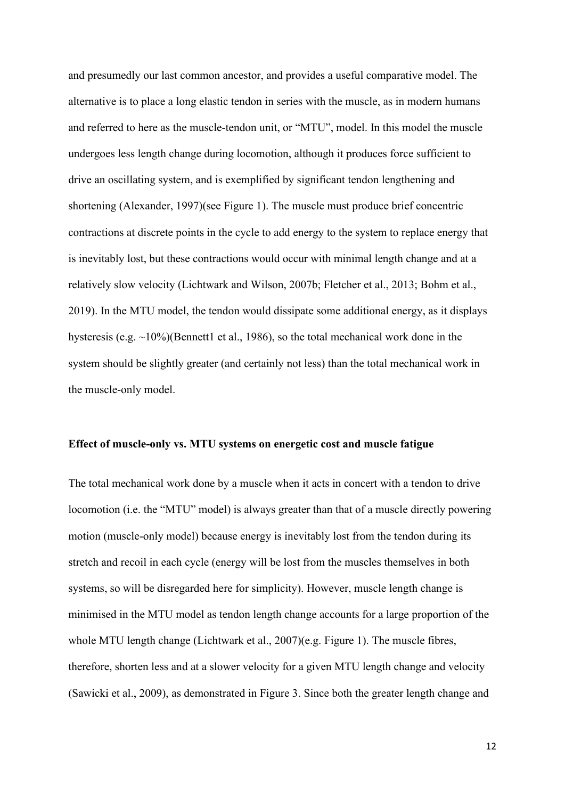and presumedly our last common ancestor, and provides a useful comparative model. The alternative is to place a long elastic tendon in series with the muscle, as in modern humans and referred to here as the muscle-tendon unit, or "MTU", model. In this model the muscle undergoes less length change during locomotion, although it produces force sufficient to drive an oscillating system, and is exemplified by significant tendon lengthening and shortening (Alexander, 1997)(see Figure 1). The muscle must produce brief concentric contractions at discrete points in the cycle to add energy to the system to replace energy that is inevitably lost, but these contractions would occur with minimal length change and at a relatively slow velocity (Lichtwark and Wilson, 2007b; Fletcher et al., 2013; Bohm et al., 2019). In the MTU model, the tendon would dissipate some additional energy, as it displays hysteresis (e.g.  $\sim$ 10%)(Bennett1 et al., 1986), so the total mechanical work done in the system should be slightly greater (and certainly not less) than the total mechanical work in the muscle-only model.

## **Effect of muscle-only vs. MTU systems on energetic cost and muscle fatigue**

The total mechanical work done by a muscle when it acts in concert with a tendon to drive locomotion (i.e. the "MTU" model) is always greater than that of a muscle directly powering motion (muscle-only model) because energy is inevitably lost from the tendon during its stretch and recoil in each cycle (energy will be lost from the muscles themselves in both systems, so will be disregarded here for simplicity). However, muscle length change is minimised in the MTU model as tendon length change accounts for a large proportion of the whole MTU length change (Lichtwark et al., 2007)(e.g. Figure 1). The muscle fibres, therefore, shorten less and at a slower velocity for a given MTU length change and velocity (Sawicki et al., 2009), as demonstrated in Figure 3. Since both the greater length change and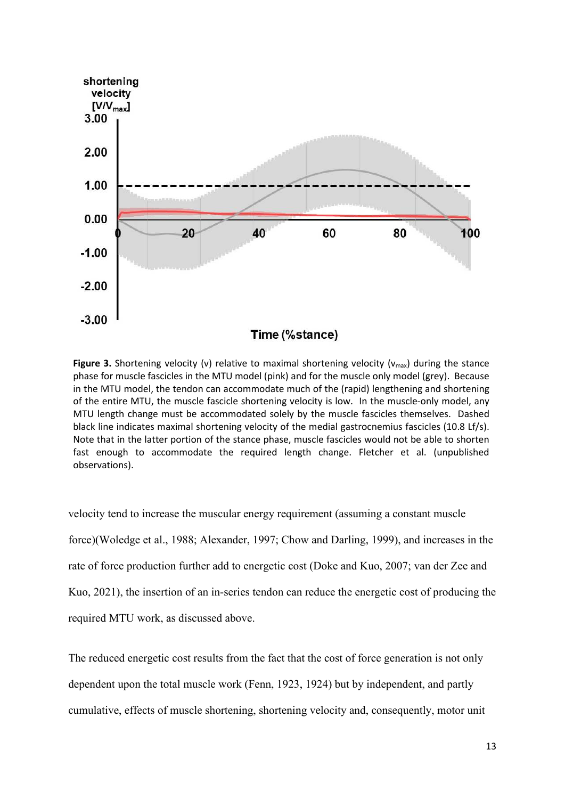

**Figure 3.** Shortening velocity (v) relative to maximal shortening velocity ( $v_{max}$ ) during the stance phase for muscle fascicles in the MTU model (pink) and for the muscle only model (grey). Because in the MTU model, the tendon can accommodate much of the (rapid) lengthening and shortening of the entire MTU, the muscle fascicle shortening velocity is low. In the muscle-only model, any MTU length change must be accommodated solely by the muscle fascicles themselves. Dashed black line indicates maximal shortening velocity of the medial gastrocnemius fascicles (10.8 Lf/s). Note that in the latter portion of the stance phase, muscle fascicles would not be able to shorten fast enough to accommodate the required length change. Fletcher et al. (unpublished observations).

velocity tend to increase the muscular energy requirement (assuming a constant muscle force)(Woledge et al., 1988; Alexander, 1997; Chow and Darling, 1999), and increases in the rate of force production further add to energetic cost (Doke and Kuo, 2007; van der Zee and Kuo, 2021), the insertion of an in-series tendon can reduce the energetic cost of producing the required MTU work, as discussed above.

The reduced energetic cost results from the fact that the cost of force generation is not only dependent upon the total muscle work (Fenn, 1923, 1924) but by independent, and partly cumulative, effects of muscle shortening, shortening velocity and, consequently, motor unit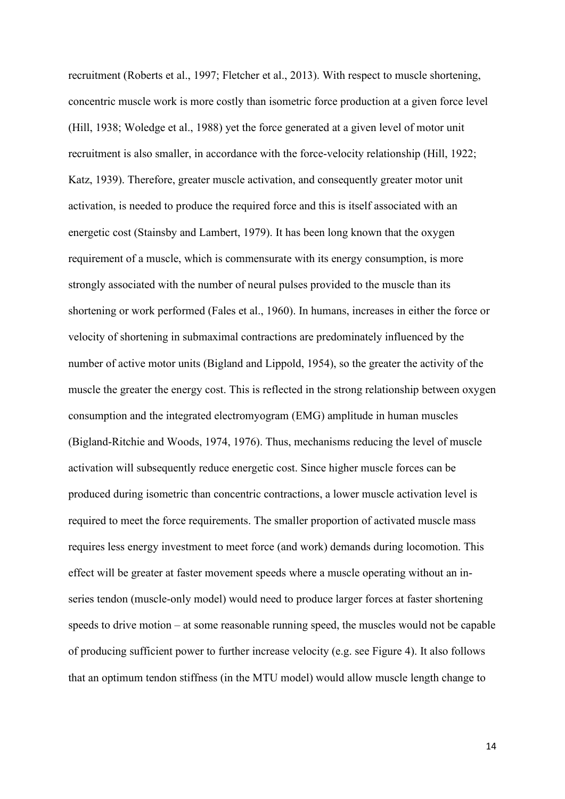recruitment (Roberts et al., 1997; Fletcher et al., 2013). With respect to muscle shortening, concentric muscle work is more costly than isometric force production at a given force level (Hill, 1938; Woledge et al., 1988) yet the force generated at a given level of motor unit recruitment is also smaller, in accordance with the force-velocity relationship (Hill, 1922; Katz, 1939). Therefore, greater muscle activation, and consequently greater motor unit activation, is needed to produce the required force and this is itself associated with an energetic cost (Stainsby and Lambert, 1979). It has been long known that the oxygen requirement of a muscle, which is commensurate with its energy consumption, is more strongly associated with the number of neural pulses provided to the muscle than its shortening or work performed (Fales et al., 1960). In humans, increases in either the force or velocity of shortening in submaximal contractions are predominately influenced by the number of active motor units (Bigland and Lippold, 1954), so the greater the activity of the muscle the greater the energy cost. This is reflected in the strong relationship between oxygen consumption and the integrated electromyogram (EMG) amplitude in human muscles (Bigland-Ritchie and Woods, 1974, 1976). Thus, mechanisms reducing the level of muscle activation will subsequently reduce energetic cost. Since higher muscle forces can be produced during isometric than concentric contractions, a lower muscle activation level is required to meet the force requirements. The smaller proportion of activated muscle mass requires less energy investment to meet force (and work) demands during locomotion. This effect will be greater at faster movement speeds where a muscle operating without an inseries tendon (muscle-only model) would need to produce larger forces at faster shortening speeds to drive motion – at some reasonable running speed, the muscles would not be capable of producing sufficient power to further increase velocity (e.g. see Figure 4). It also follows that an optimum tendon stiffness (in the MTU model) would allow muscle length change to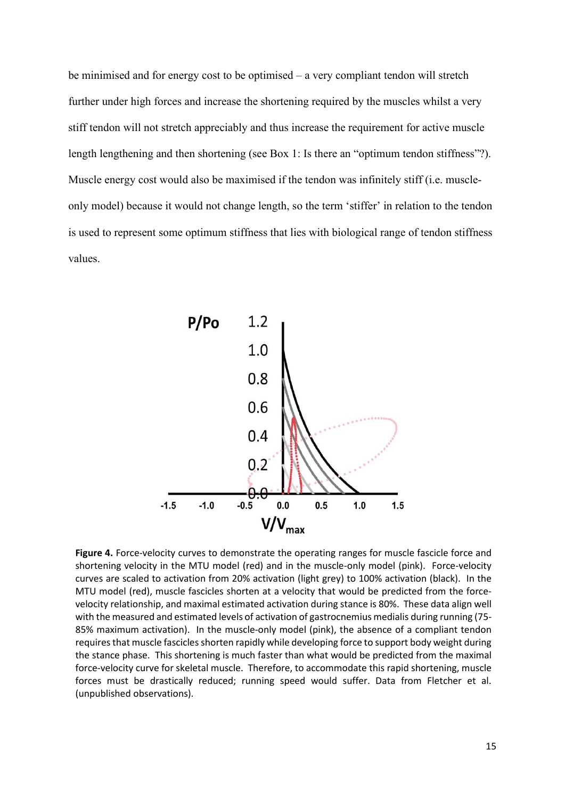be minimised and for energy cost to be optimised – a very compliant tendon will stretch further under high forces and increase the shortening required by the muscles whilst a very stiff tendon will not stretch appreciably and thus increase the requirement for active muscle length lengthening and then shortening (see Box 1: Is there an "optimum tendon stiffness"?). Muscle energy cost would also be maximised if the tendon was infinitely stiff (i.e. muscleonly model) because it would not change length, so the term 'stiffer' in relation to the tendon is used to represent some optimum stiffness that lies with biological range of tendon stiffness values.



**Figure 4.** Force-velocity curves to demonstrate the operating ranges for muscle fascicle force and shortening velocity in the MTU model (red) and in the muscle-only model (pink). Force-velocity curves are scaled to activation from 20% activation (light grey) to 100% activation (black). In the MTU model (red), muscle fascicles shorten at a velocity that would be predicted from the forcevelocity relationship, and maximal estimated activation during stance is 80%. These data align well with the measured and estimated levels of activation of gastrocnemius medialis during running (75- 85% maximum activation). In the muscle-only model (pink), the absence of a compliant tendon requires that muscle fascicles shorten rapidly while developing force to support body weight during the stance phase. This shortening is much faster than what would be predicted from the maximal force-velocity curve for skeletal muscle. Therefore, to accommodate this rapid shortening, muscle forces must be drastically reduced; running speed would suffer. Data from Fletcher et al. (unpublished observations).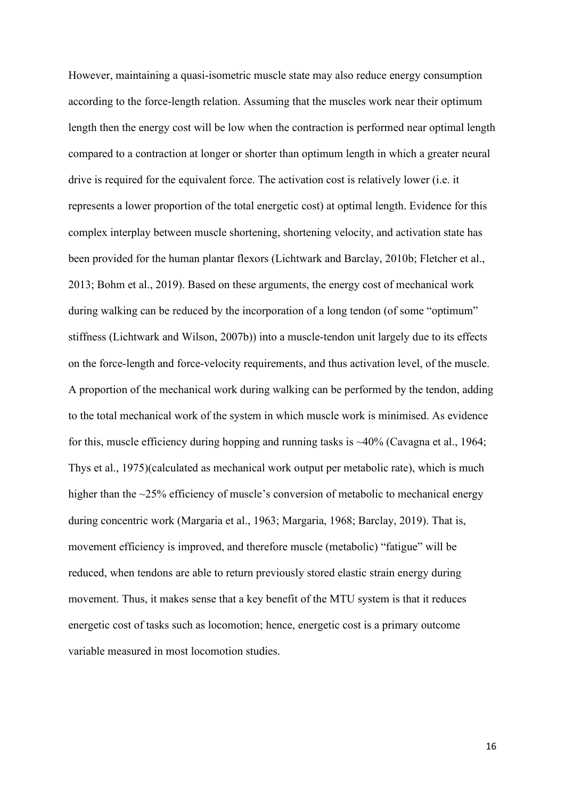However, maintaining a quasi-isometric muscle state may also reduce energy consumption according to the force-length relation. Assuming that the muscles work near their optimum length then the energy cost will be low when the contraction is performed near optimal length compared to a contraction at longer or shorter than optimum length in which a greater neural drive is required for the equivalent force. The activation cost is relatively lower (i.e. it represents a lower proportion of the total energetic cost) at optimal length. Evidence for this complex interplay between muscle shortening, shortening velocity, and activation state has been provided for the human plantar flexors (Lichtwark and Barclay, 2010b; Fletcher et al., 2013; Bohm et al., 2019). Based on these arguments, the energy cost of mechanical work during walking can be reduced by the incorporation of a long tendon (of some "optimum" stiffness (Lichtwark and Wilson, 2007b)) into a muscle-tendon unit largely due to its effects on the force-length and force-velocity requirements, and thus activation level, of the muscle. A proportion of the mechanical work during walking can be performed by the tendon, adding to the total mechanical work of the system in which muscle work is minimised. As evidence for this, muscle efficiency during hopping and running tasks is ~40% (Cavagna et al., 1964; Thys et al., 1975)(calculated as mechanical work output per metabolic rate), which is much higher than the ~25% efficiency of muscle's conversion of metabolic to mechanical energy during concentric work (Margaria et al., 1963; Margaria, 1968; Barclay, 2019). That is, movement efficiency is improved, and therefore muscle (metabolic) "fatigue" will be reduced, when tendons are able to return previously stored elastic strain energy during movement. Thus, it makes sense that a key benefit of the MTU system is that it reduces energetic cost of tasks such as locomotion; hence, energetic cost is a primary outcome variable measured in most locomotion studies.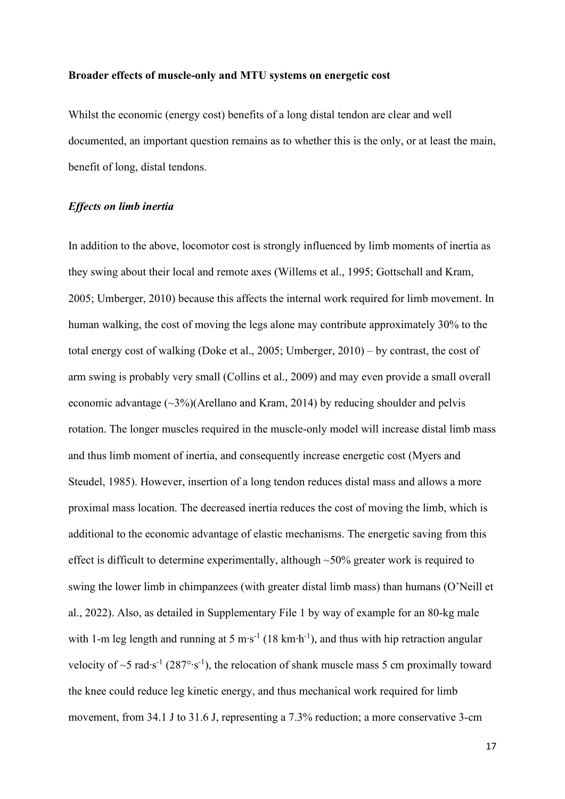#### **Broader effects of muscle-only and MTU systems on energetic cost**

Whilst the economic (energy cost) benefits of a long distal tendon are clear and well documented, an important question remains as to whether this is the only, or at least the main, benefit of long, distal tendons.

## *Effects on limb inertia*

In addition to the above, locomotor cost is strongly influenced by limb moments of inertia as they swing about their local and remote axes (Willems et al., 1995; Gottschall and Kram, 2005; Umberger, 2010) because this affects the internal work required for limb movement. In human walking, the cost of moving the legs alone may contribute approximately 30% to the total energy cost of walking (Doke et al., 2005; Umberger, 2010) – by contrast, the cost of arm swing is probably very small (Collins et al., 2009) and may even provide a small overall economic advantage (~3%)(Arellano and Kram, 2014) by reducing shoulder and pelvis rotation. The longer muscles required in the muscle-only model will increase distal limb mass and thus limb moment of inertia, and consequently increase energetic cost (Myers and Steudel, 1985). However, insertion of a long tendon reduces distal mass and allows a more proximal mass location. The decreased inertia reduces the cost of moving the limb, which is additional to the economic advantage of elastic mechanisms. The energetic saving from this effect is difficult to determine experimentally, although  $\sim$  50% greater work is required to swing the lower limb in chimpanzees (with greater distal limb mass) than humans (O'Neill et al., 2022). Also, as detailed in Supplementary File 1 by way of example for an 80-kg male with 1-m leg length and running at 5 m⋅s<sup>-1</sup> (18 km⋅h<sup>-1</sup>), and thus with hip retraction angular velocity of ~5 rad⋅s<sup>-1</sup> (287°⋅s<sup>-1</sup>), the relocation of shank muscle mass 5 cm proximally toward the knee could reduce leg kinetic energy, and thus mechanical work required for limb movement, from 34.1 J to 31.6 J, representing a 7.3% reduction; a more conservative 3-cm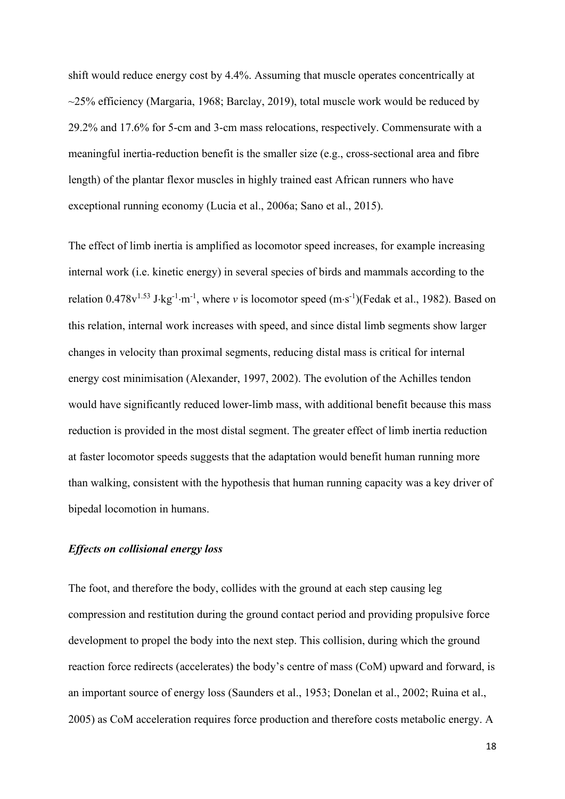shift would reduce energy cost by 4.4%. Assuming that muscle operates concentrically at  $\sim$ 25% efficiency (Margaria, 1968; Barclay, 2019), total muscle work would be reduced by 29.2% and 17.6% for 5-cm and 3-cm mass relocations, respectively. Commensurate with a meaningful inertia-reduction benefit is the smaller size (e.g., cross-sectional area and fibre length) of the plantar flexor muscles in highly trained east African runners who have exceptional running economy (Lucia et al., 2006a; Sano et al., 2015).

The effect of limb inertia is amplified as locomotor speed increases, for example increasing internal work (i.e. kinetic energy) in several species of birds and mammals according to the relation  $0.478v^{1.53}$  J·kg<sup>-1</sup>·m<sup>-1</sup>, where *v* is locomotor speed  $(m·s<sup>-1</sup>)($ Fedak et al., 1982). Based on this relation, internal work increases with speed, and since distal limb segments show larger changes in velocity than proximal segments, reducing distal mass is critical for internal energy cost minimisation (Alexander, 1997, 2002). The evolution of the Achilles tendon would have significantly reduced lower-limb mass, with additional benefit because this mass reduction is provided in the most distal segment. The greater effect of limb inertia reduction at faster locomotor speeds suggests that the adaptation would benefit human running more than walking, consistent with the hypothesis that human running capacity was a key driver of bipedal locomotion in humans.

## *Effects on collisional energy loss*

The foot, and therefore the body, collides with the ground at each step causing leg compression and restitution during the ground contact period and providing propulsive force development to propel the body into the next step. This collision, during which the ground reaction force redirects (accelerates) the body's centre of mass (CoM) upward and forward, is an important source of energy loss (Saunders et al., 1953; Donelan et al., 2002; Ruina et al., 2005) as CoM acceleration requires force production and therefore costs metabolic energy. A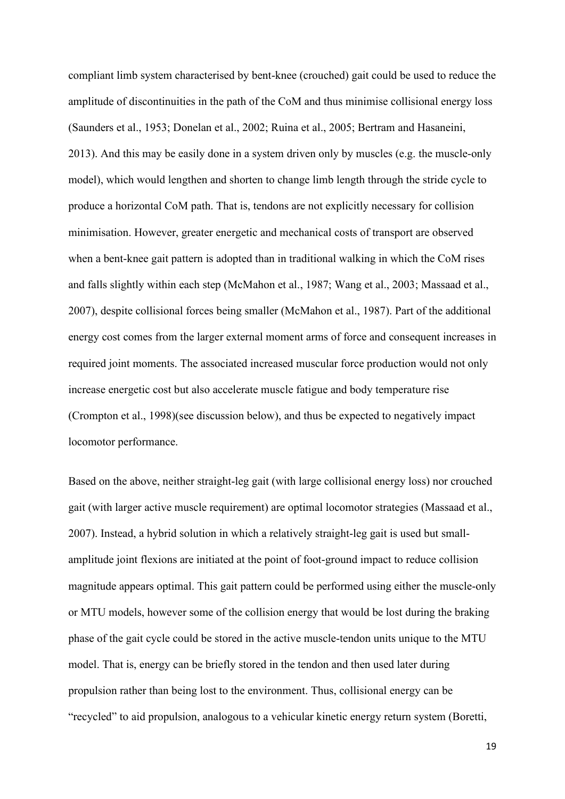compliant limb system characterised by bent-knee (crouched) gait could be used to reduce the amplitude of discontinuities in the path of the CoM and thus minimise collisional energy loss (Saunders et al., 1953; Donelan et al., 2002; Ruina et al., 2005; Bertram and Hasaneini, 2013). And this may be easily done in a system driven only by muscles (e.g. the muscle-only model), which would lengthen and shorten to change limb length through the stride cycle to produce a horizontal CoM path. That is, tendons are not explicitly necessary for collision minimisation. However, greater energetic and mechanical costs of transport are observed when a bent-knee gait pattern is adopted than in traditional walking in which the CoM rises and falls slightly within each step (McMahon et al., 1987; Wang et al., 2003; Massaad et al., 2007), despite collisional forces being smaller (McMahon et al., 1987). Part of the additional energy cost comes from the larger external moment arms of force and consequent increases in required joint moments. The associated increased muscular force production would not only increase energetic cost but also accelerate muscle fatigue and body temperature rise (Crompton et al., 1998)(see discussion below), and thus be expected to negatively impact locomotor performance.

Based on the above, neither straight-leg gait (with large collisional energy loss) nor crouched gait (with larger active muscle requirement) are optimal locomotor strategies (Massaad et al., 2007). Instead, a hybrid solution in which a relatively straight-leg gait is used but smallamplitude joint flexions are initiated at the point of foot-ground impact to reduce collision magnitude appears optimal. This gait pattern could be performed using either the muscle-only or MTU models, however some of the collision energy that would be lost during the braking phase of the gait cycle could be stored in the active muscle-tendon units unique to the MTU model. That is, energy can be briefly stored in the tendon and then used later during propulsion rather than being lost to the environment. Thus, collisional energy can be "recycled" to aid propulsion, analogous to a vehicular kinetic energy return system (Boretti,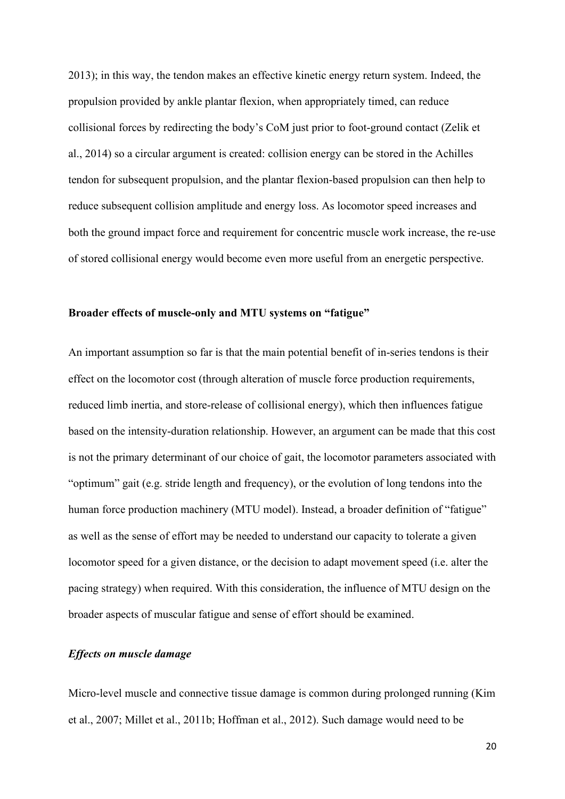2013); in this way, the tendon makes an effective kinetic energy return system. Indeed, the propulsion provided by ankle plantar flexion, when appropriately timed, can reduce collisional forces by redirecting the body's CoM just prior to foot-ground contact (Zelik et al., 2014) so a circular argument is created: collision energy can be stored in the Achilles tendon for subsequent propulsion, and the plantar flexion-based propulsion can then help to reduce subsequent collision amplitude and energy loss. As locomotor speed increases and both the ground impact force and requirement for concentric muscle work increase, the re-use of stored collisional energy would become even more useful from an energetic perspective.

#### **Broader effects of muscle-only and MTU systems on "fatigue"**

An important assumption so far is that the main potential benefit of in-series tendons is their effect on the locomotor cost (through alteration of muscle force production requirements, reduced limb inertia, and store-release of collisional energy), which then influences fatigue based on the intensity-duration relationship. However, an argument can be made that this cost is not the primary determinant of our choice of gait, the locomotor parameters associated with "optimum" gait (e.g. stride length and frequency), or the evolution of long tendons into the human force production machinery (MTU model). Instead, a broader definition of "fatigue" as well as the sense of effort may be needed to understand our capacity to tolerate a given locomotor speed for a given distance, or the decision to adapt movement speed (i.e. alter the pacing strategy) when required. With this consideration, the influence of MTU design on the broader aspects of muscular fatigue and sense of effort should be examined.

## *Effects on muscle damage*

Micro-level muscle and connective tissue damage is common during prolonged running (Kim et al., 2007; Millet et al., 2011b; Hoffman et al., 2012). Such damage would need to be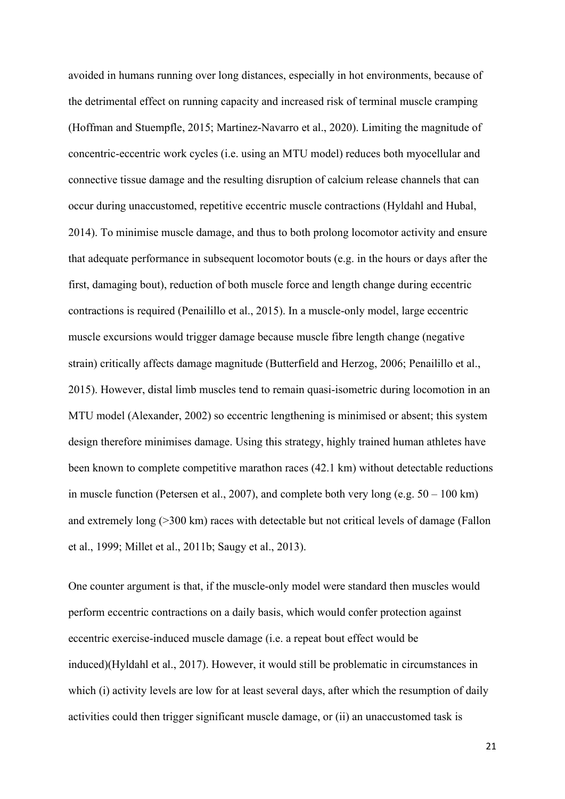avoided in humans running over long distances, especially in hot environments, because of the detrimental effect on running capacity and increased risk of terminal muscle cramping (Hoffman and Stuempfle, 2015; Martinez-Navarro et al., 2020). Limiting the magnitude of concentric-eccentric work cycles (i.e. using an MTU model) reduces both myocellular and connective tissue damage and the resulting disruption of calcium release channels that can occur during unaccustomed, repetitive eccentric muscle contractions (Hyldahl and Hubal, 2014). To minimise muscle damage, and thus to both prolong locomotor activity and ensure that adequate performance in subsequent locomotor bouts (e.g. in the hours or days after the first, damaging bout), reduction of both muscle force and length change during eccentric contractions is required (Penailillo et al., 2015). In a muscle-only model, large eccentric muscle excursions would trigger damage because muscle fibre length change (negative strain) critically affects damage magnitude (Butterfield and Herzog, 2006; Penailillo et al., 2015). However, distal limb muscles tend to remain quasi-isometric during locomotion in an MTU model (Alexander, 2002) so eccentric lengthening is minimised or absent; this system design therefore minimises damage. Using this strategy, highly trained human athletes have been known to complete competitive marathon races (42.1 km) without detectable reductions in muscle function (Petersen et al., 2007), and complete both very long (e.g.  $50 - 100$  km) and extremely long (>300 km) races with detectable but not critical levels of damage (Fallon et al., 1999; Millet et al., 2011b; Saugy et al., 2013).

One counter argument is that, if the muscle-only model were standard then muscles would perform eccentric contractions on a daily basis, which would confer protection against eccentric exercise-induced muscle damage (i.e. a repeat bout effect would be induced)(Hyldahl et al., 2017). However, it would still be problematic in circumstances in which (i) activity levels are low for at least several days, after which the resumption of daily activities could then trigger significant muscle damage, or (ii) an unaccustomed task is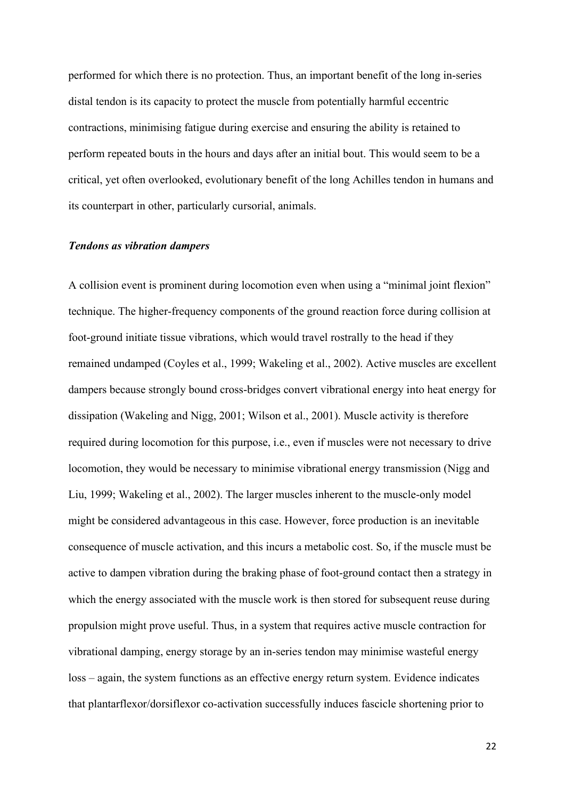performed for which there is no protection. Thus, an important benefit of the long in-series distal tendon is its capacity to protect the muscle from potentially harmful eccentric contractions, minimising fatigue during exercise and ensuring the ability is retained to perform repeated bouts in the hours and days after an initial bout. This would seem to be a critical, yet often overlooked, evolutionary benefit of the long Achilles tendon in humans and its counterpart in other, particularly cursorial, animals.

## *Tendons as vibration dampers*

A collision event is prominent during locomotion even when using a "minimal joint flexion" technique. The higher-frequency components of the ground reaction force during collision at foot-ground initiate tissue vibrations, which would travel rostrally to the head if they remained undamped (Coyles et al., 1999; Wakeling et al., 2002). Active muscles are excellent dampers because strongly bound cross-bridges convert vibrational energy into heat energy for dissipation (Wakeling and Nigg, 2001; Wilson et al., 2001). Muscle activity is therefore required during locomotion for this purpose, i.e., even if muscles were not necessary to drive locomotion, they would be necessary to minimise vibrational energy transmission (Nigg and Liu, 1999; Wakeling et al., 2002). The larger muscles inherent to the muscle-only model might be considered advantageous in this case. However, force production is an inevitable consequence of muscle activation, and this incurs a metabolic cost. So, if the muscle must be active to dampen vibration during the braking phase of foot-ground contact then a strategy in which the energy associated with the muscle work is then stored for subsequent reuse during propulsion might prove useful. Thus, in a system that requires active muscle contraction for vibrational damping, energy storage by an in-series tendon may minimise wasteful energy loss – again, the system functions as an effective energy return system. Evidence indicates that plantarflexor/dorsiflexor co-activation successfully induces fascicle shortening prior to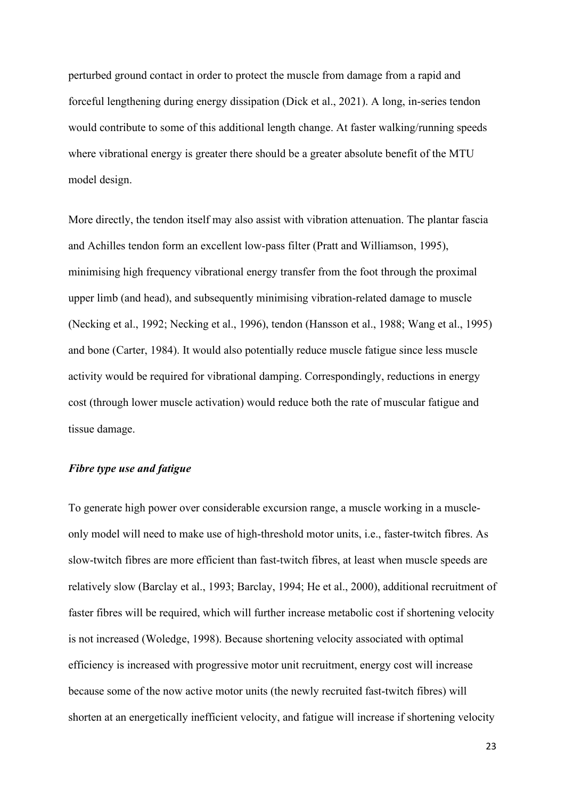perturbed ground contact in order to protect the muscle from damage from a rapid and forceful lengthening during energy dissipation (Dick et al., 2021). A long, in-series tendon would contribute to some of this additional length change. At faster walking/running speeds where vibrational energy is greater there should be a greater absolute benefit of the MTU model design.

More directly, the tendon itself may also assist with vibration attenuation. The plantar fascia and Achilles tendon form an excellent low-pass filter (Pratt and Williamson, 1995), minimising high frequency vibrational energy transfer from the foot through the proximal upper limb (and head), and subsequently minimising vibration-related damage to muscle (Necking et al., 1992; Necking et al., 1996), tendon (Hansson et al., 1988; Wang et al., 1995) and bone (Carter, 1984). It would also potentially reduce muscle fatigue since less muscle activity would be required for vibrational damping. Correspondingly, reductions in energy cost (through lower muscle activation) would reduce both the rate of muscular fatigue and tissue damage.

## *Fibre type use and fatigue*

To generate high power over considerable excursion range, a muscle working in a muscleonly model will need to make use of high-threshold motor units, i.e., faster-twitch fibres. As slow-twitch fibres are more efficient than fast-twitch fibres, at least when muscle speeds are relatively slow (Barclay et al., 1993; Barclay, 1994; He et al., 2000), additional recruitment of faster fibres will be required, which will further increase metabolic cost if shortening velocity is not increased (Woledge, 1998). Because shortening velocity associated with optimal efficiency is increased with progressive motor unit recruitment, energy cost will increase because some of the now active motor units (the newly recruited fast-twitch fibres) will shorten at an energetically inefficient velocity, and fatigue will increase if shortening velocity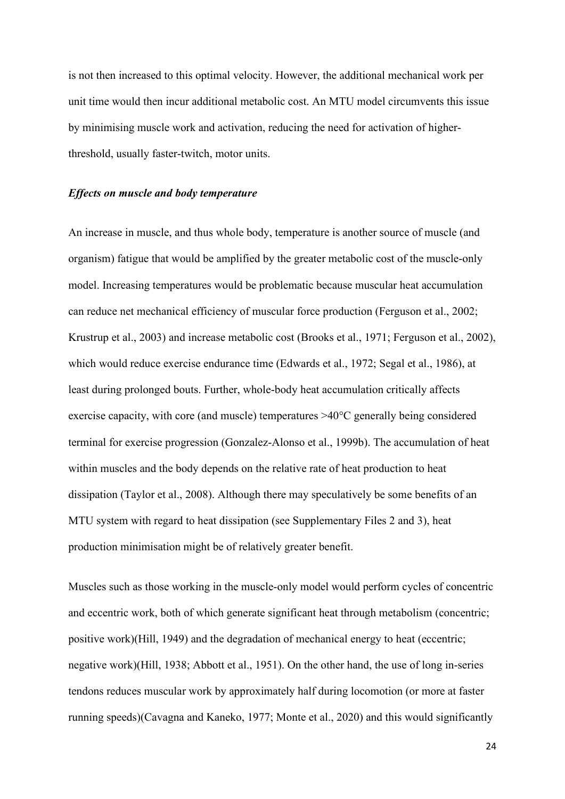is not then increased to this optimal velocity. However, the additional mechanical work per unit time would then incur additional metabolic cost. An MTU model circumvents this issue by minimising muscle work and activation, reducing the need for activation of higherthreshold, usually faster-twitch, motor units.

## *Effects on muscle and body temperature*

An increase in muscle, and thus whole body, temperature is another source of muscle (and organism) fatigue that would be amplified by the greater metabolic cost of the muscle-only model. Increasing temperatures would be problematic because muscular heat accumulation can reduce net mechanical efficiency of muscular force production (Ferguson et al., 2002; Krustrup et al., 2003) and increase metabolic cost (Brooks et al., 1971; Ferguson et al., 2002), which would reduce exercise endurance time (Edwards et al., 1972; Segal et al., 1986), at least during prolonged bouts. Further, whole-body heat accumulation critically affects exercise capacity, with core (and muscle) temperatures >40°C generally being considered terminal for exercise progression (Gonzalez-Alonso et al., 1999b). The accumulation of heat within muscles and the body depends on the relative rate of heat production to heat dissipation (Taylor et al., 2008). Although there may speculatively be some benefits of an MTU system with regard to heat dissipation (see Supplementary Files 2 and 3), heat production minimisation might be of relatively greater benefit.

Muscles such as those working in the muscle-only model would perform cycles of concentric and eccentric work, both of which generate significant heat through metabolism (concentric; positive work)(Hill, 1949) and the degradation of mechanical energy to heat (eccentric; negative work)(Hill, 1938; Abbott et al., 1951). On the other hand, the use of long in-series tendons reduces muscular work by approximately half during locomotion (or more at faster running speeds)(Cavagna and Kaneko, 1977; Monte et al., 2020) and this would significantly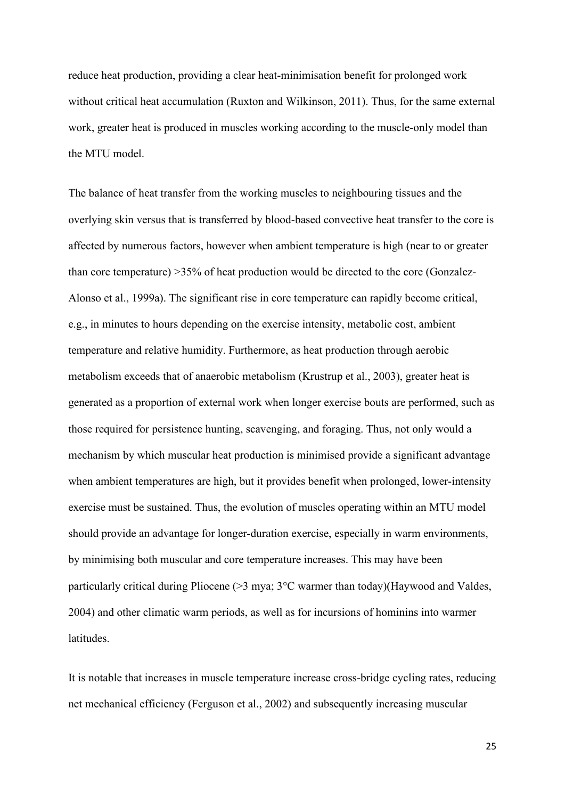reduce heat production, providing a clear heat-minimisation benefit for prolonged work without critical heat accumulation (Ruxton and Wilkinson, 2011). Thus, for the same external work, greater heat is produced in muscles working according to the muscle-only model than the MTU model.

The balance of heat transfer from the working muscles to neighbouring tissues and the overlying skin versus that is transferred by blood-based convective heat transfer to the core is affected by numerous factors, however when ambient temperature is high (near to or greater than core temperature) >35% of heat production would be directed to the core (Gonzalez-Alonso et al., 1999a). The significant rise in core temperature can rapidly become critical, e.g., in minutes to hours depending on the exercise intensity, metabolic cost, ambient temperature and relative humidity. Furthermore, as heat production through aerobic metabolism exceeds that of anaerobic metabolism (Krustrup et al., 2003), greater heat is generated as a proportion of external work when longer exercise bouts are performed, such as those required for persistence hunting, scavenging, and foraging. Thus, not only would a mechanism by which muscular heat production is minimised provide a significant advantage when ambient temperatures are high, but it provides benefit when prolonged, lower-intensity exercise must be sustained. Thus, the evolution of muscles operating within an MTU model should provide an advantage for longer-duration exercise, especially in warm environments, by minimising both muscular and core temperature increases. This may have been particularly critical during Pliocene (>3 mya; 3°C warmer than today)(Haywood and Valdes, 2004) and other climatic warm periods, as well as for incursions of hominins into warmer latitudes.

It is notable that increases in muscle temperature increase cross-bridge cycling rates, reducing net mechanical efficiency (Ferguson et al., 2002) and subsequently increasing muscular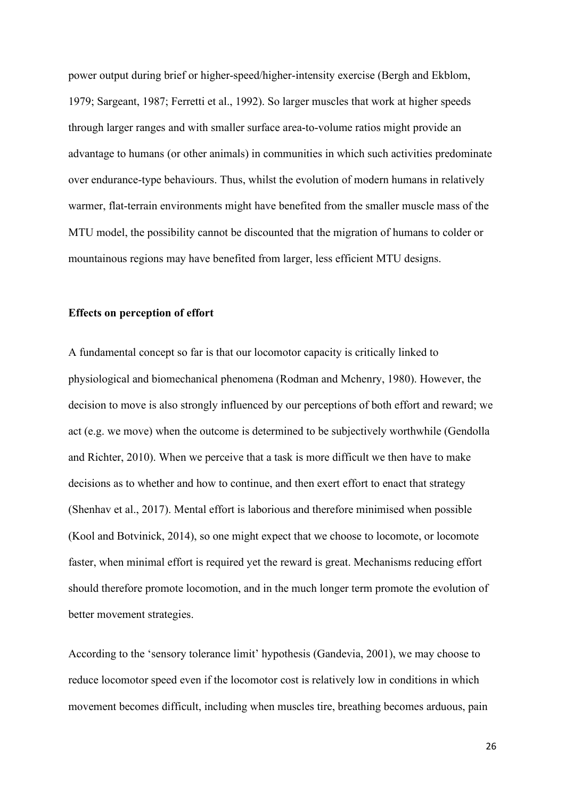power output during brief or higher-speed/higher-intensity exercise (Bergh and Ekblom, 1979; Sargeant, 1987; Ferretti et al., 1992). So larger muscles that work at higher speeds through larger ranges and with smaller surface area-to-volume ratios might provide an advantage to humans (or other animals) in communities in which such activities predominate over endurance-type behaviours. Thus, whilst the evolution of modern humans in relatively warmer, flat-terrain environments might have benefited from the smaller muscle mass of the MTU model, the possibility cannot be discounted that the migration of humans to colder or mountainous regions may have benefited from larger, less efficient MTU designs.

## **Effects on perception of effort**

A fundamental concept so far is that our locomotor capacity is critically linked to physiological and biomechanical phenomena (Rodman and Mchenry, 1980). However, the decision to move is also strongly influenced by our perceptions of both effort and reward; we act (e.g. we move) when the outcome is determined to be subjectively worthwhile (Gendolla and Richter, 2010). When we perceive that a task is more difficult we then have to make decisions as to whether and how to continue, and then exert effort to enact that strategy (Shenhav et al., 2017). Mental effort is laborious and therefore minimised when possible (Kool and Botvinick, 2014), so one might expect that we choose to locomote, or locomote faster, when minimal effort is required yet the reward is great. Mechanisms reducing effort should therefore promote locomotion, and in the much longer term promote the evolution of better movement strategies.

According to the 'sensory tolerance limit' hypothesis (Gandevia, 2001), we may choose to reduce locomotor speed even if the locomotor cost is relatively low in conditions in which movement becomes difficult, including when muscles tire, breathing becomes arduous, pain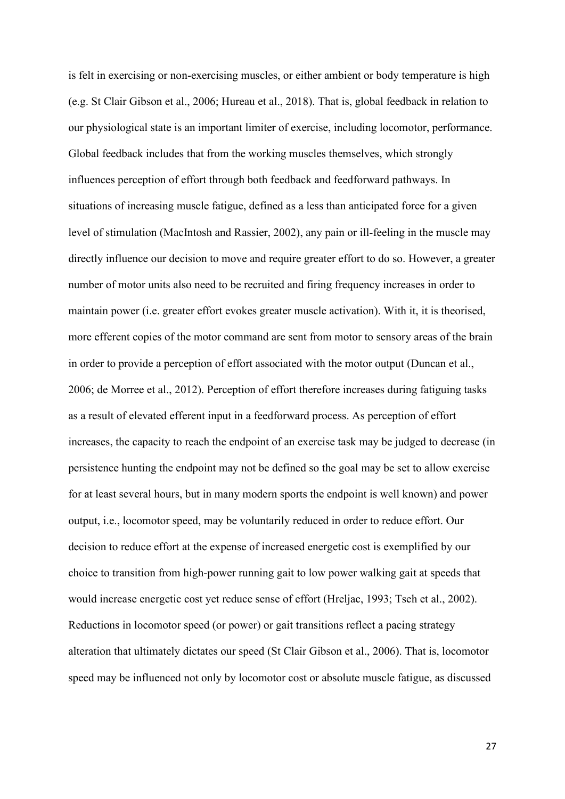is felt in exercising or non-exercising muscles, or either ambient or body temperature is high (e.g. St Clair Gibson et al., 2006; Hureau et al., 2018). That is, global feedback in relation to our physiological state is an important limiter of exercise, including locomotor, performance. Global feedback includes that from the working muscles themselves, which strongly influences perception of effort through both feedback and feedforward pathways. In situations of increasing muscle fatigue, defined as a less than anticipated force for a given level of stimulation (MacIntosh and Rassier, 2002), any pain or ill-feeling in the muscle may directly influence our decision to move and require greater effort to do so. However, a greater number of motor units also need to be recruited and firing frequency increases in order to maintain power (i.e. greater effort evokes greater muscle activation). With it, it is theorised, more efferent copies of the motor command are sent from motor to sensory areas of the brain in order to provide a perception of effort associated with the motor output (Duncan et al., 2006; de Morree et al., 2012). Perception of effort therefore increases during fatiguing tasks as a result of elevated efferent input in a feedforward process. As perception of effort increases, the capacity to reach the endpoint of an exercise task may be judged to decrease (in persistence hunting the endpoint may not be defined so the goal may be set to allow exercise for at least several hours, but in many modern sports the endpoint is well known) and power output, i.e., locomotor speed, may be voluntarily reduced in order to reduce effort. Our decision to reduce effort at the expense of increased energetic cost is exemplified by our choice to transition from high-power running gait to low power walking gait at speeds that would increase energetic cost yet reduce sense of effort (Hreljac, 1993; Tseh et al., 2002). Reductions in locomotor speed (or power) or gait transitions reflect a pacing strategy alteration that ultimately dictates our speed (St Clair Gibson et al., 2006). That is, locomotor speed may be influenced not only by locomotor cost or absolute muscle fatigue, as discussed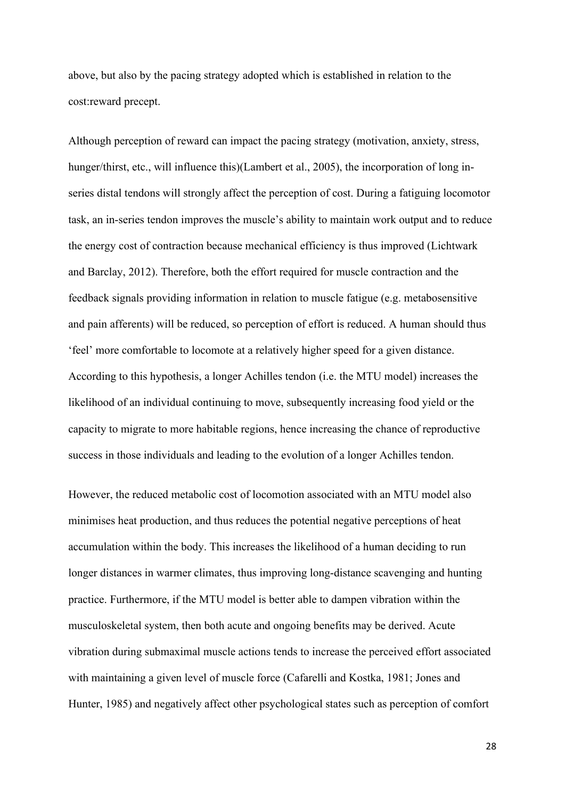above, but also by the pacing strategy adopted which is established in relation to the cost:reward precept.

Although perception of reward can impact the pacing strategy (motivation, anxiety, stress, hunger/thirst, etc., will influence this)(Lambert et al., 2005), the incorporation of long inseries distal tendons will strongly affect the perception of cost. During a fatiguing locomotor task, an in-series tendon improves the muscle's ability to maintain work output and to reduce the energy cost of contraction because mechanical efficiency is thus improved (Lichtwark and Barclay, 2012). Therefore, both the effort required for muscle contraction and the feedback signals providing information in relation to muscle fatigue (e.g. metabosensitive and pain afferents) will be reduced, so perception of effort is reduced. A human should thus 'feel' more comfortable to locomote at a relatively higher speed for a given distance. According to this hypothesis, a longer Achilles tendon (i.e. the MTU model) increases the likelihood of an individual continuing to move, subsequently increasing food yield or the capacity to migrate to more habitable regions, hence increasing the chance of reproductive success in those individuals and leading to the evolution of a longer Achilles tendon.

However, the reduced metabolic cost of locomotion associated with an MTU model also minimises heat production, and thus reduces the potential negative perceptions of heat accumulation within the body. This increases the likelihood of a human deciding to run longer distances in warmer climates, thus improving long-distance scavenging and hunting practice. Furthermore, if the MTU model is better able to dampen vibration within the musculoskeletal system, then both acute and ongoing benefits may be derived. Acute vibration during submaximal muscle actions tends to increase the perceived effort associated with maintaining a given level of muscle force (Cafarelli and Kostka, 1981; Jones and Hunter, 1985) and negatively affect other psychological states such as perception of comfort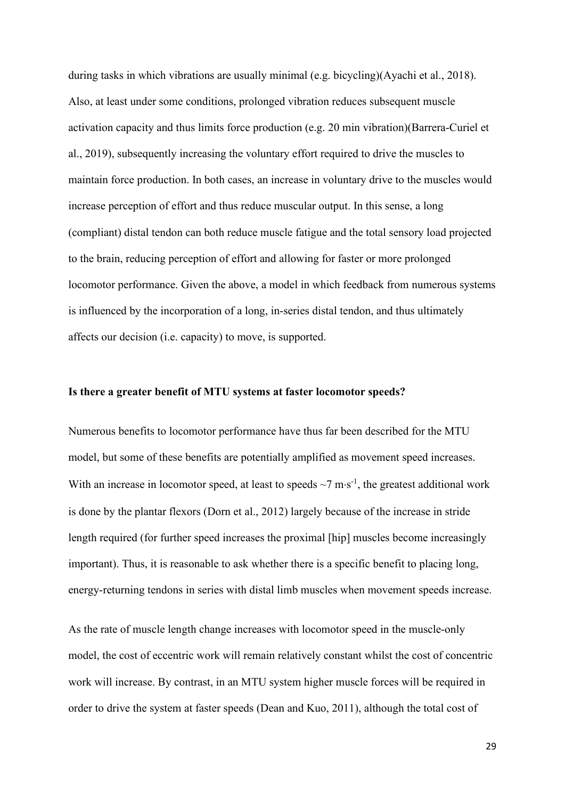during tasks in which vibrations are usually minimal (e.g. bicycling)(Ayachi et al., 2018). Also, at least under some conditions, prolonged vibration reduces subsequent muscle activation capacity and thus limits force production (e.g. 20 min vibration)(Barrera-Curiel et al., 2019), subsequently increasing the voluntary effort required to drive the muscles to maintain force production. In both cases, an increase in voluntary drive to the muscles would increase perception of effort and thus reduce muscular output. In this sense, a long (compliant) distal tendon can both reduce muscle fatigue and the total sensory load projected to the brain, reducing perception of effort and allowing for faster or more prolonged locomotor performance. Given the above, a model in which feedback from numerous systems is influenced by the incorporation of a long, in-series distal tendon, and thus ultimately affects our decision (i.e. capacity) to move, is supported.

## **Is there a greater benefit of MTU systems at faster locomotor speeds?**

Numerous benefits to locomotor performance have thus far been described for the MTU model, but some of these benefits are potentially amplified as movement speed increases. With an increase in locomotor speed, at least to speeds  $\sim$ 7 m·s<sup>-1</sup>, the greatest additional work is done by the plantar flexors (Dorn et al., 2012) largely because of the increase in stride length required (for further speed increases the proximal [hip] muscles become increasingly important). Thus, it is reasonable to ask whether there is a specific benefit to placing long, energy-returning tendons in series with distal limb muscles when movement speeds increase.

As the rate of muscle length change increases with locomotor speed in the muscle-only model, the cost of eccentric work will remain relatively constant whilst the cost of concentric work will increase. By contrast, in an MTU system higher muscle forces will be required in order to drive the system at faster speeds (Dean and Kuo, 2011), although the total cost of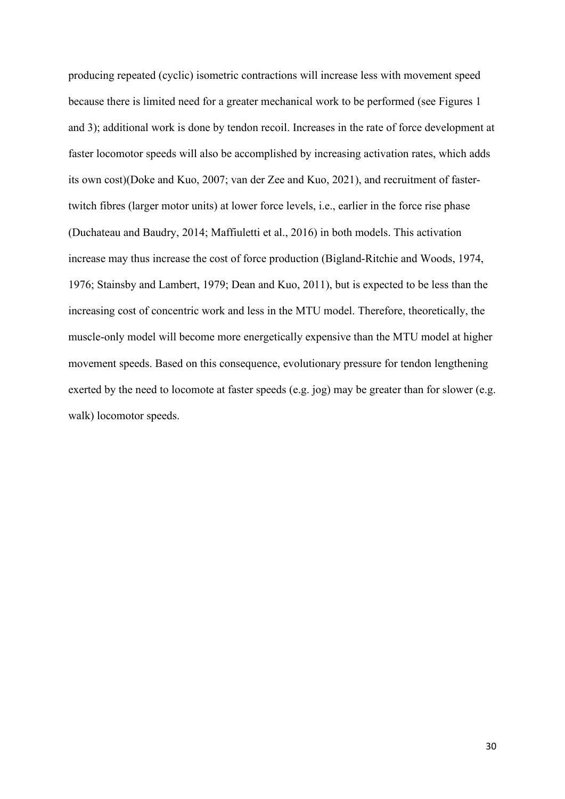producing repeated (cyclic) isometric contractions will increase less with movement speed because there is limited need for a greater mechanical work to be performed (see Figures 1 and 3); additional work is done by tendon recoil. Increases in the rate of force development at faster locomotor speeds will also be accomplished by increasing activation rates, which adds its own cost)(Doke and Kuo, 2007; van der Zee and Kuo, 2021), and recruitment of fastertwitch fibres (larger motor units) at lower force levels, i.e., earlier in the force rise phase (Duchateau and Baudry, 2014; Maffiuletti et al., 2016) in both models. This activation increase may thus increase the cost of force production (Bigland-Ritchie and Woods, 1974, 1976; Stainsby and Lambert, 1979; Dean and Kuo, 2011), but is expected to be less than the increasing cost of concentric work and less in the MTU model. Therefore, theoretically, the muscle-only model will become more energetically expensive than the MTU model at higher movement speeds. Based on this consequence, evolutionary pressure for tendon lengthening exerted by the need to locomote at faster speeds (e.g. jog) may be greater than for slower (e.g. walk) locomotor speeds.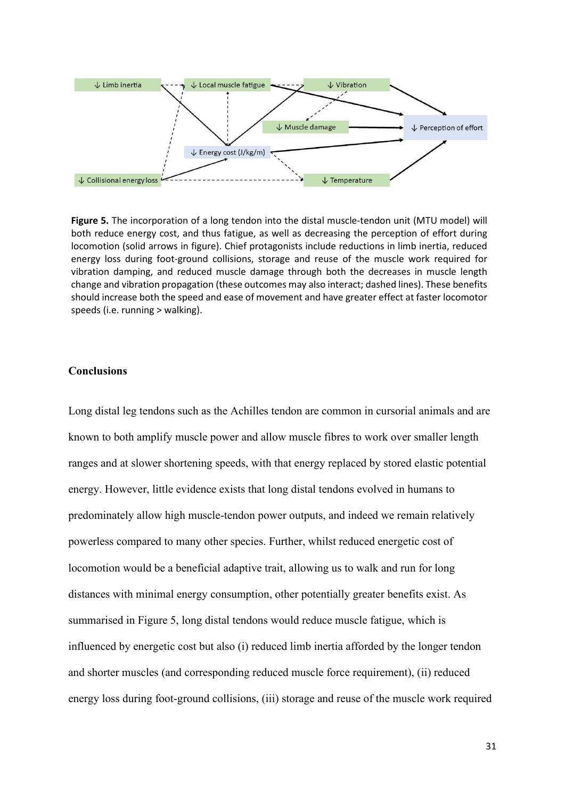

**Figure 5.** The incorporation of a long tendon into the distal muscle-tendon unit (MTU model) will both reduce energy cost, and thus fatigue, as well as decreasing the perception of effort during locomotion (solid arrows in figure). Chief protagonists include reductions in limb inertia, reduced energy loss during foot-ground collisions, storage and reuse of the muscle work required for vibration damping, and reduced muscle damage through both the decreases in muscle length change and vibration propagation (these outcomes may also interact; dashed lines). These benefits should increase both the speed and ease of movement and have greater effect at faster locomotor speeds (i.e. running > walking).

## **Conclusions**

Long distal leg tendons such as the Achilles tendon are common in cursorial animals and are known to both amplify muscle power and allow muscle fibres to work over smaller length ranges and at slower shortening speeds, with that energy replaced by stored elastic potential energy. However, little evidence exists that long distal tendons evolved in humans to predominately allow high muscle-tendon power outputs, and indeed we remain relatively powerless compared to many other species. Further, whilst reduced energetic cost of locomotion would be a beneficial adaptive trait, allowing us to walk and run for long distances with minimal energy consumption, other potentially greater benefits exist. As summarised in Figure 5, long distal tendons would reduce muscle fatigue, which is influenced by energetic cost but also (i) reduced limb inertia afforded by the longer tendon and shorter muscles (and corresponding reduced muscle force requirement), (ii) reduced energy loss during foot-ground collisions, (iii) storage and reuse of the muscle work required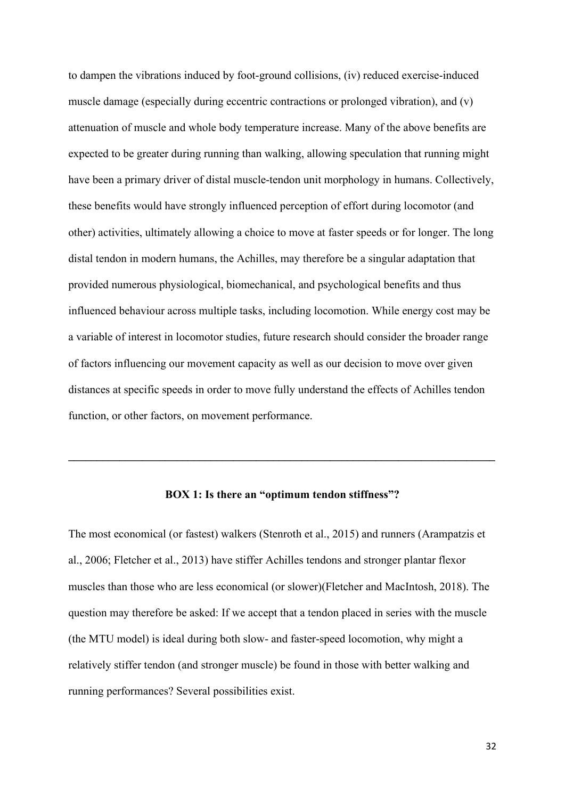to dampen the vibrations induced by foot-ground collisions, (iv) reduced exercise-induced muscle damage (especially during eccentric contractions or prolonged vibration), and (v) attenuation of muscle and whole body temperature increase. Many of the above benefits are expected to be greater during running than walking, allowing speculation that running might have been a primary driver of distal muscle-tendon unit morphology in humans. Collectively, these benefits would have strongly influenced perception of effort during locomotor (and other) activities, ultimately allowing a choice to move at faster speeds or for longer. The long distal tendon in modern humans, the Achilles, may therefore be a singular adaptation that provided numerous physiological, biomechanical, and psychological benefits and thus influenced behaviour across multiple tasks, including locomotion. While energy cost may be a variable of interest in locomotor studies, future research should consider the broader range of factors influencing our movement capacity as well as our decision to move over given distances at specific speeds in order to move fully understand the effects of Achilles tendon function, or other factors, on movement performance.

## **BOX 1: Is there an "optimum tendon stiffness"?**

**\_\_\_\_\_\_\_\_\_\_\_\_\_\_\_\_\_\_\_\_\_\_\_\_\_\_\_\_\_\_\_\_\_\_\_\_\_\_\_\_\_\_\_\_\_\_\_\_\_\_\_\_\_\_\_\_\_\_\_\_\_\_\_\_\_\_\_\_\_\_\_\_\_\_\_** 

The most economical (or fastest) walkers (Stenroth et al., 2015) and runners (Arampatzis et al., 2006; Fletcher et al., 2013) have stiffer Achilles tendons and stronger plantar flexor muscles than those who are less economical (or slower)(Fletcher and MacIntosh, 2018). The question may therefore be asked: If we accept that a tendon placed in series with the muscle (the MTU model) is ideal during both slow- and faster-speed locomotion, why might a relatively stiffer tendon (and stronger muscle) be found in those with better walking and running performances? Several possibilities exist.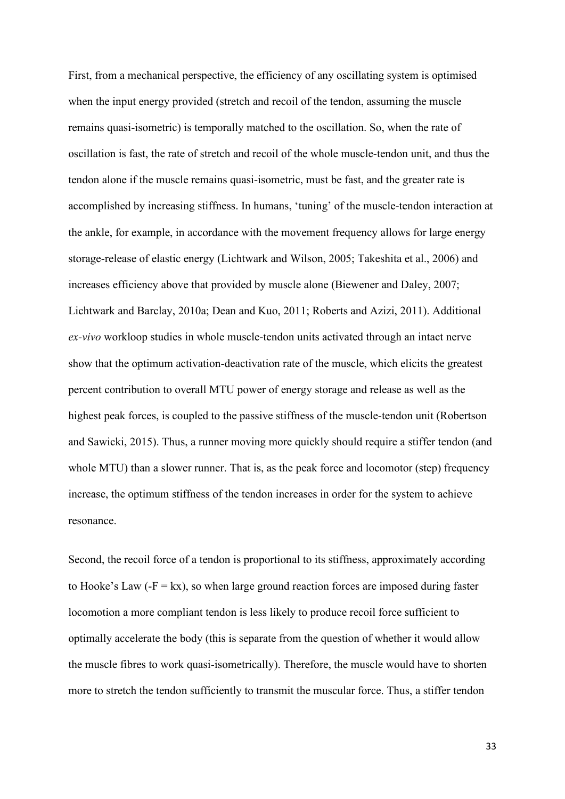First, from a mechanical perspective, the efficiency of any oscillating system is optimised when the input energy provided (stretch and recoil of the tendon, assuming the muscle remains quasi-isometric) is temporally matched to the oscillation. So, when the rate of oscillation is fast, the rate of stretch and recoil of the whole muscle-tendon unit, and thus the tendon alone if the muscle remains quasi-isometric, must be fast, and the greater rate is accomplished by increasing stiffness. In humans, 'tuning' of the muscle-tendon interaction at the ankle, for example, in accordance with the movement frequency allows for large energy storage-release of elastic energy (Lichtwark and Wilson, 2005; Takeshita et al., 2006) and increases efficiency above that provided by muscle alone (Biewener and Daley, 2007; Lichtwark and Barclay, 2010a; Dean and Kuo, 2011; Roberts and Azizi, 2011). Additional *ex-vivo* workloop studies in whole muscle-tendon units activated through an intact nerve show that the optimum activation-deactivation rate of the muscle, which elicits the greatest percent contribution to overall MTU power of energy storage and release as well as the highest peak forces, is coupled to the passive stiffness of the muscle-tendon unit (Robertson and Sawicki, 2015). Thus, a runner moving more quickly should require a stiffer tendon (and whole MTU) than a slower runner. That is, as the peak force and locomotor (step) frequency increase, the optimum stiffness of the tendon increases in order for the system to achieve resonance.

Second, the recoil force of a tendon is proportional to its stiffness, approximately according to Hooke's Law  $(-F = kx)$ , so when large ground reaction forces are imposed during faster locomotion a more compliant tendon is less likely to produce recoil force sufficient to optimally accelerate the body (this is separate from the question of whether it would allow the muscle fibres to work quasi-isometrically). Therefore, the muscle would have to shorten more to stretch the tendon sufficiently to transmit the muscular force. Thus, a stiffer tendon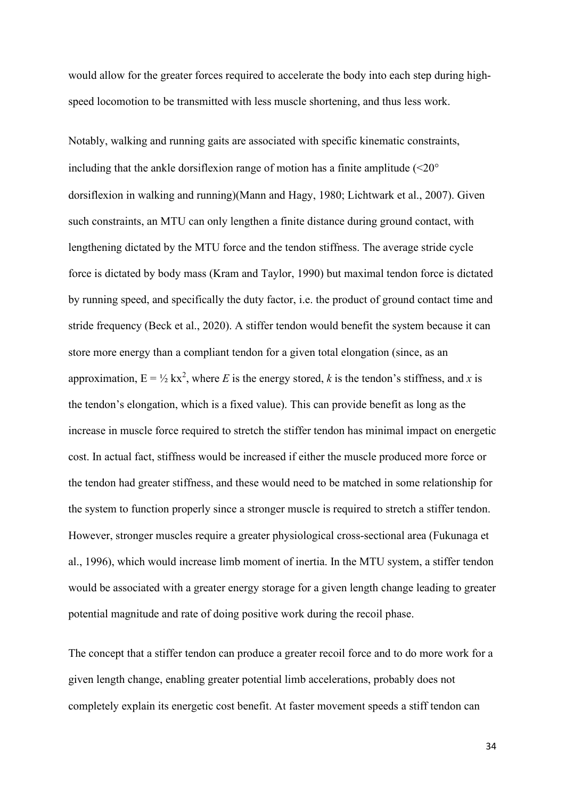would allow for the greater forces required to accelerate the body into each step during highspeed locomotion to be transmitted with less muscle shortening, and thus less work.

Notably, walking and running gaits are associated with specific kinematic constraints, including that the ankle dorsiflexion range of motion has a finite amplitude  $\langle 20^\circ$ dorsiflexion in walking and running)(Mann and Hagy, 1980; Lichtwark et al., 2007). Given such constraints, an MTU can only lengthen a finite distance during ground contact, with lengthening dictated by the MTU force and the tendon stiffness. The average stride cycle force is dictated by body mass (Kram and Taylor, 1990) but maximal tendon force is dictated by running speed, and specifically the duty factor, i.e. the product of ground contact time and stride frequency (Beck et al., 2020). A stiffer tendon would benefit the system because it can store more energy than a compliant tendon for a given total elongation (since, as an approximation,  $E = \frac{1}{2} kx^2$ , where *E* is the energy stored, *k* is the tendon's stiffness, and *x* is the tendon's elongation, which is a fixed value). This can provide benefit as long as the increase in muscle force required to stretch the stiffer tendon has minimal impact on energetic cost. In actual fact, stiffness would be increased if either the muscle produced more force or the tendon had greater stiffness, and these would need to be matched in some relationship for the system to function properly since a stronger muscle is required to stretch a stiffer tendon. However, stronger muscles require a greater physiological cross-sectional area (Fukunaga et al., 1996), which would increase limb moment of inertia. In the MTU system, a stiffer tendon would be associated with a greater energy storage for a given length change leading to greater potential magnitude and rate of doing positive work during the recoil phase.

The concept that a stiffer tendon can produce a greater recoil force and to do more work for a given length change, enabling greater potential limb accelerations, probably does not completely explain its energetic cost benefit. At faster movement speeds a stiff tendon can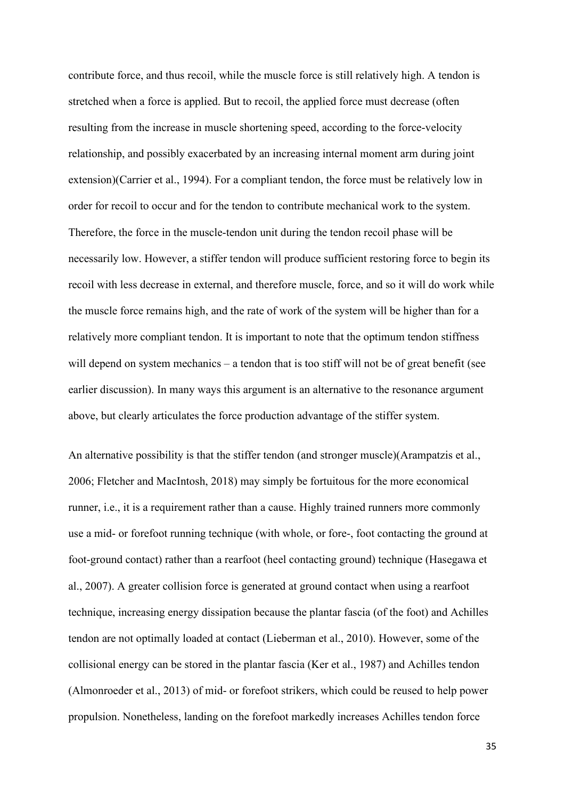contribute force, and thus recoil, while the muscle force is still relatively high. A tendon is stretched when a force is applied. But to recoil, the applied force must decrease (often resulting from the increase in muscle shortening speed, according to the force-velocity relationship, and possibly exacerbated by an increasing internal moment arm during joint extension)(Carrier et al., 1994). For a compliant tendon, the force must be relatively low in order for recoil to occur and for the tendon to contribute mechanical work to the system. Therefore, the force in the muscle-tendon unit during the tendon recoil phase will be necessarily low. However, a stiffer tendon will produce sufficient restoring force to begin its recoil with less decrease in external, and therefore muscle, force, and so it will do work while the muscle force remains high, and the rate of work of the system will be higher than for a relatively more compliant tendon. It is important to note that the optimum tendon stiffness will depend on system mechanics – a tendon that is too stiff will not be of great benefit (see earlier discussion). In many ways this argument is an alternative to the resonance argument above, but clearly articulates the force production advantage of the stiffer system.

An alternative possibility is that the stiffer tendon (and stronger muscle)(Arampatzis et al., 2006; Fletcher and MacIntosh, 2018) may simply be fortuitous for the more economical runner, i.e., it is a requirement rather than a cause. Highly trained runners more commonly use a mid- or forefoot running technique (with whole, or fore-, foot contacting the ground at foot-ground contact) rather than a rearfoot (heel contacting ground) technique (Hasegawa et al., 2007). A greater collision force is generated at ground contact when using a rearfoot technique, increasing energy dissipation because the plantar fascia (of the foot) and Achilles tendon are not optimally loaded at contact (Lieberman et al., 2010). However, some of the collisional energy can be stored in the plantar fascia (Ker et al., 1987) and Achilles tendon (Almonroeder et al., 2013) of mid- or forefoot strikers, which could be reused to help power propulsion. Nonetheless, landing on the forefoot markedly increases Achilles tendon force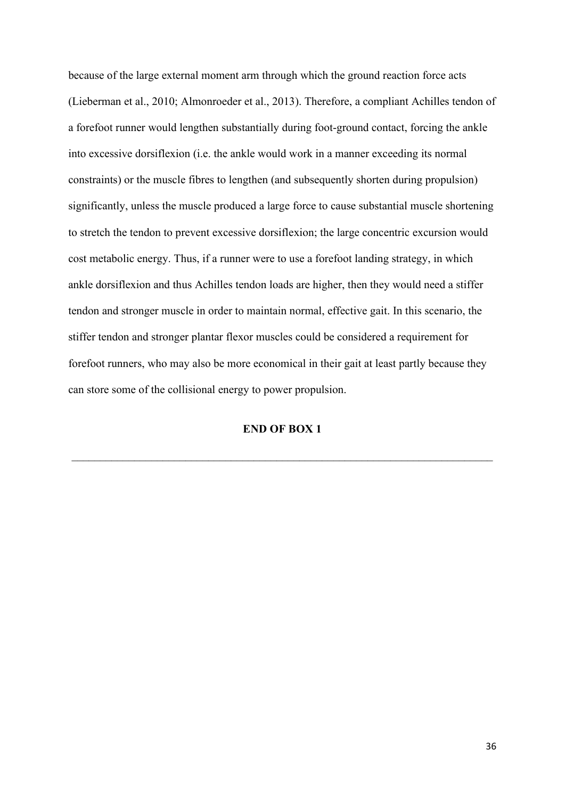because of the large external moment arm through which the ground reaction force acts (Lieberman et al., 2010; Almonroeder et al., 2013). Therefore, a compliant Achilles tendon of a forefoot runner would lengthen substantially during foot-ground contact, forcing the ankle into excessive dorsiflexion (i.e. the ankle would work in a manner exceeding its normal constraints) or the muscle fibres to lengthen (and subsequently shorten during propulsion) significantly, unless the muscle produced a large force to cause substantial muscle shortening to stretch the tendon to prevent excessive dorsiflexion; the large concentric excursion would cost metabolic energy. Thus, if a runner were to use a forefoot landing strategy, in which ankle dorsiflexion and thus Achilles tendon loads are higher, then they would need a stiffer tendon and stronger muscle in order to maintain normal, effective gait. In this scenario, the stiffer tendon and stronger plantar flexor muscles could be considered a requirement for forefoot runners, who may also be more economical in their gait at least partly because they can store some of the collisional energy to power propulsion.

## **END OF BOX 1**

\_\_\_\_\_\_\_\_\_\_\_\_\_\_\_\_\_\_\_\_\_\_\_\_\_\_\_\_\_\_\_\_\_\_\_\_\_\_\_\_\_\_\_\_\_\_\_\_\_\_\_\_\_\_\_\_\_\_\_\_\_\_\_\_\_\_\_\_\_\_\_\_\_\_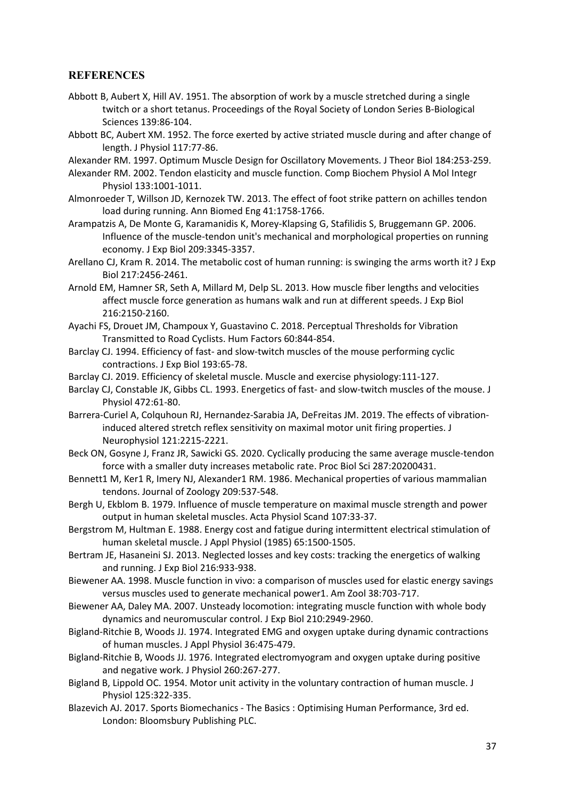## **REFERENCES**

- Abbott B, Aubert X, Hill AV. 1951. The absorption of work by a muscle stretched during a single twitch or a short tetanus. Proceedings of the Royal Society of London Series B-Biological Sciences 139:86-104.
- Abbott BC, Aubert XM. 1952. The force exerted by active striated muscle during and after change of length. J Physiol 117:77-86.
- Alexander RM. 1997. Optimum Muscle Design for Oscillatory Movements. J Theor Biol 184:253-259.
- Alexander RM. 2002. Tendon elasticity and muscle function. Comp Biochem Physiol A Mol Integr Physiol 133:1001-1011.
- Almonroeder T, Willson JD, Kernozek TW. 2013. The effect of foot strike pattern on achilles tendon load during running. Ann Biomed Eng 41:1758-1766.
- Arampatzis A, De Monte G, Karamanidis K, Morey-Klapsing G, Stafilidis S, Bruggemann GP. 2006. Influence of the muscle-tendon unit's mechanical and morphological properties on running economy. J Exp Biol 209:3345-3357.
- Arellano CJ, Kram R. 2014. The metabolic cost of human running: is swinging the arms worth it? J Exp Biol 217:2456-2461.
- Arnold EM, Hamner SR, Seth A, Millard M, Delp SL. 2013. How muscle fiber lengths and velocities affect muscle force generation as humans walk and run at different speeds. J Exp Biol 216:2150-2160.
- Ayachi FS, Drouet JM, Champoux Y, Guastavino C. 2018. Perceptual Thresholds for Vibration Transmitted to Road Cyclists. Hum Factors 60:844-854.
- Barclay CJ. 1994. Efficiency of fast- and slow-twitch muscles of the mouse performing cyclic contractions. J Exp Biol 193:65-78.
- Barclay CJ. 2019. Efficiency of skeletal muscle. Muscle and exercise physiology:111-127.
- Barclay CJ, Constable JK, Gibbs CL. 1993. Energetics of fast- and slow-twitch muscles of the mouse. J Physiol 472:61-80.
- Barrera-Curiel A, Colquhoun RJ, Hernandez-Sarabia JA, DeFreitas JM. 2019. The effects of vibrationinduced altered stretch reflex sensitivity on maximal motor unit firing properties. J Neurophysiol 121:2215-2221.
- Beck ON, Gosyne J, Franz JR, Sawicki GS. 2020. Cyclically producing the same average muscle-tendon force with a smaller duty increases metabolic rate. Proc Biol Sci 287:20200431.
- Bennett1 M, Ker1 R, Imery NJ, Alexander1 RM. 1986. Mechanical properties of various mammalian tendons. Journal of Zoology 209:537-548.
- Bergh U, Ekblom B. 1979. Influence of muscle temperature on maximal muscle strength and power output in human skeletal muscles. Acta Physiol Scand 107:33-37.
- Bergstrom M, Hultman E. 1988. Energy cost and fatigue during intermittent electrical stimulation of human skeletal muscle. J Appl Physiol (1985) 65:1500-1505.
- Bertram JE, Hasaneini SJ. 2013. Neglected losses and key costs: tracking the energetics of walking and running. J Exp Biol 216:933-938.
- Biewener AA. 1998. Muscle function in vivo: a comparison of muscles used for elastic energy savings versus muscles used to generate mechanical power1. Am Zool 38:703-717.
- Biewener AA, Daley MA. 2007. Unsteady locomotion: integrating muscle function with whole body dynamics and neuromuscular control. J Exp Biol 210:2949-2960.
- Bigland-Ritchie B, Woods JJ. 1974. Integrated EMG and oxygen uptake during dynamic contractions of human muscles. J Appl Physiol 36:475-479.
- Bigland-Ritchie B, Woods JJ. 1976. Integrated electromyogram and oxygen uptake during positive and negative work. J Physiol 260:267-277.
- Bigland B, Lippold OC. 1954. Motor unit activity in the voluntary contraction of human muscle. J Physiol 125:322-335.
- Blazevich AJ. 2017. Sports Biomechanics The Basics : Optimising Human Performance, 3rd ed. London: Bloomsbury Publishing PLC.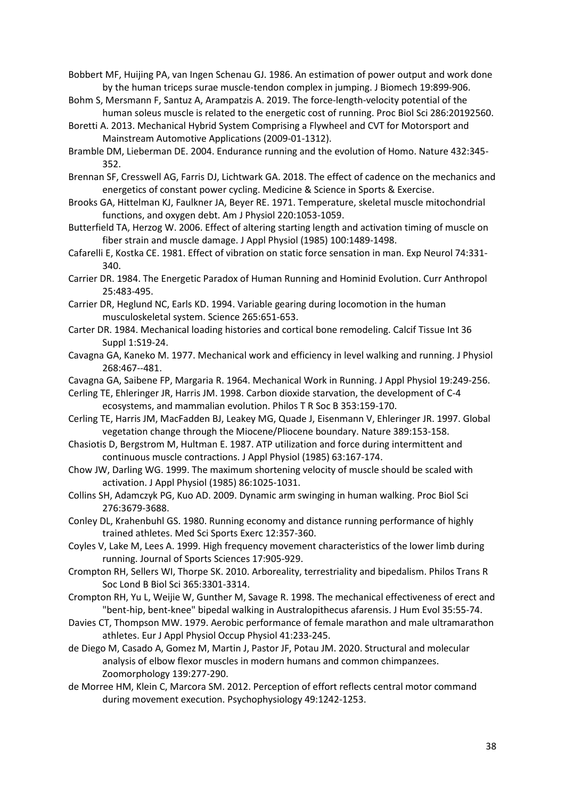Bobbert MF, Huijing PA, van Ingen Schenau GJ. 1986. An estimation of power output and work done by the human triceps surae muscle-tendon complex in jumping. J Biomech 19:899-906.

- Bohm S, Mersmann F, Santuz A, Arampatzis A. 2019. The force-length-velocity potential of the human soleus muscle is related to the energetic cost of running. Proc Biol Sci 286:20192560.
- Boretti A. 2013. Mechanical Hybrid System Comprising a Flywheel and CVT for Motorsport and Mainstream Automotive Applications (2009-01-1312).
- Bramble DM, Lieberman DE. 2004. Endurance running and the evolution of Homo. Nature 432:345- 352.
- Brennan SF, Cresswell AG, Farris DJ, Lichtwark GA. 2018. The effect of cadence on the mechanics and energetics of constant power cycling. Medicine & Science in Sports & Exercise.
- Brooks GA, Hittelman KJ, Faulkner JA, Beyer RE. 1971. Temperature, skeletal muscle mitochondrial functions, and oxygen debt. Am J Physiol 220:1053-1059.
- Butterfield TA, Herzog W. 2006. Effect of altering starting length and activation timing of muscle on fiber strain and muscle damage. J Appl Physiol (1985) 100:1489-1498.
- Cafarelli E, Kostka CE. 1981. Effect of vibration on static force sensation in man. Exp Neurol 74:331- 340.
- Carrier DR. 1984. The Energetic Paradox of Human Running and Hominid Evolution. Curr Anthropol 25:483-495.
- Carrier DR, Heglund NC, Earls KD. 1994. Variable gearing during locomotion in the human musculoskeletal system. Science 265:651-653.
- Carter DR. 1984. Mechanical loading histories and cortical bone remodeling. Calcif Tissue Int 36 Suppl 1:S19-24.
- Cavagna GA, Kaneko M. 1977. Mechanical work and efficiency in level walking and running. J Physiol 268:467--481.
- Cavagna GA, Saibene FP, Margaria R. 1964. Mechanical Work in Running. J Appl Physiol 19:249-256.
- Cerling TE, Ehleringer JR, Harris JM. 1998. Carbon dioxide starvation, the development of C-4 ecosystems, and mammalian evolution. Philos T R Soc B 353:159-170.
- Cerling TE, Harris JM, MacFadden BJ, Leakey MG, Quade J, Eisenmann V, Ehleringer JR. 1997. Global vegetation change through the Miocene/Pliocene boundary. Nature 389:153-158.
- Chasiotis D, Bergstrom M, Hultman E. 1987. ATP utilization and force during intermittent and continuous muscle contractions. J Appl Physiol (1985) 63:167-174.
- Chow JW, Darling WG. 1999. The maximum shortening velocity of muscle should be scaled with activation. J Appl Physiol (1985) 86:1025-1031.
- Collins SH, Adamczyk PG, Kuo AD. 2009. Dynamic arm swinging in human walking. Proc Biol Sci 276:3679-3688.
- Conley DL, Krahenbuhl GS. 1980. Running economy and distance running performance of highly trained athletes. Med Sci Sports Exerc 12:357-360.
- Coyles V, Lake M, Lees A. 1999. High frequency movement characteristics of the lower limb during running. Journal of Sports Sciences 17:905-929.
- Crompton RH, Sellers WI, Thorpe SK. 2010. Arboreality, terrestriality and bipedalism. Philos Trans R Soc Lond B Biol Sci 365:3301-3314.
- Crompton RH, Yu L, Weijie W, Gunther M, Savage R. 1998. The mechanical effectiveness of erect and "bent-hip, bent-knee" bipedal walking in Australopithecus afarensis. J Hum Evol 35:55-74.
- Davies CT, Thompson MW. 1979. Aerobic performance of female marathon and male ultramarathon athletes. Eur J Appl Physiol Occup Physiol 41:233-245.
- de Diego M, Casado A, Gomez M, Martin J, Pastor JF, Potau JM. 2020. Structural and molecular analysis of elbow flexor muscles in modern humans and common chimpanzees. Zoomorphology 139:277-290.
- de Morree HM, Klein C, Marcora SM. 2012. Perception of effort reflects central motor command during movement execution. Psychophysiology 49:1242-1253.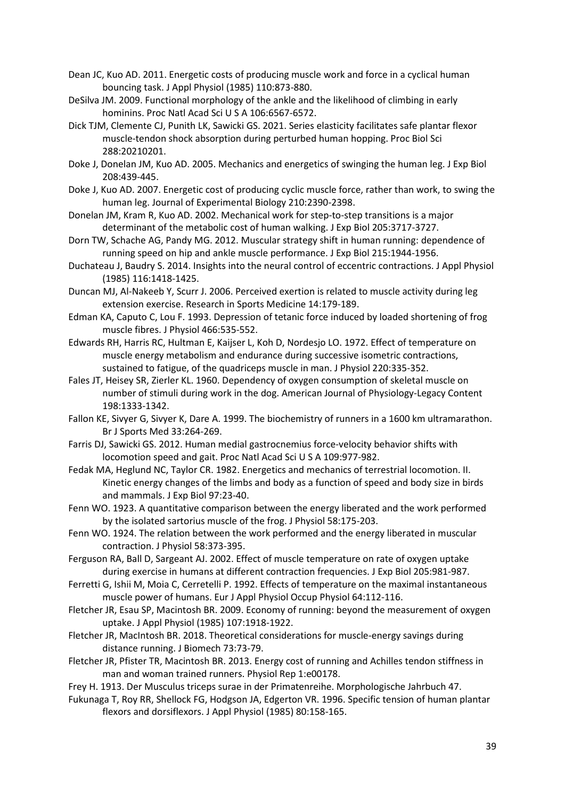- Dean JC, Kuo AD. 2011. Energetic costs of producing muscle work and force in a cyclical human bouncing task. J Appl Physiol (1985) 110:873-880.
- DeSilva JM. 2009. Functional morphology of the ankle and the likelihood of climbing in early hominins. Proc Natl Acad Sci U S A 106:6567-6572.
- Dick TJM, Clemente CJ, Punith LK, Sawicki GS. 2021. Series elasticity facilitates safe plantar flexor muscle-tendon shock absorption during perturbed human hopping. Proc Biol Sci 288:20210201.
- Doke J, Donelan JM, Kuo AD. 2005. Mechanics and energetics of swinging the human leg. J Exp Biol 208:439-445.
- Doke J, Kuo AD. 2007. Energetic cost of producing cyclic muscle force, rather than work, to swing the human leg. Journal of Experimental Biology 210:2390-2398.
- Donelan JM, Kram R, Kuo AD. 2002. Mechanical work for step-to-step transitions is a major determinant of the metabolic cost of human walking. J Exp Biol 205:3717-3727.
- Dorn TW, Schache AG, Pandy MG. 2012. Muscular strategy shift in human running: dependence of running speed on hip and ankle muscle performance. J Exp Biol 215:1944-1956.
- Duchateau J, Baudry S. 2014. Insights into the neural control of eccentric contractions. J Appl Physiol (1985) 116:1418-1425.
- Duncan MJ, Al-Nakeeb Y, Scurr J. 2006. Perceived exertion is related to muscle activity during leg extension exercise. Research in Sports Medicine 14:179-189.
- Edman KA, Caputo C, Lou F. 1993. Depression of tetanic force induced by loaded shortening of frog muscle fibres. J Physiol 466:535-552.
- Edwards RH, Harris RC, Hultman E, Kaijser L, Koh D, Nordesjo LO. 1972. Effect of temperature on muscle energy metabolism and endurance during successive isometric contractions, sustained to fatigue, of the quadriceps muscle in man. J Physiol 220:335-352.
- Fales JT, Heisey SR, Zierler KL. 1960. Dependency of oxygen consumption of skeletal muscle on number of stimuli during work in the dog. American Journal of Physiology-Legacy Content 198:1333-1342.
- Fallon KE, Sivyer G, Sivyer K, Dare A. 1999. The biochemistry of runners in a 1600 km ultramarathon. Br J Sports Med 33:264-269.
- Farris DJ, Sawicki GS. 2012. Human medial gastrocnemius force-velocity behavior shifts with locomotion speed and gait. Proc Natl Acad Sci U S A 109:977-982.
- Fedak MA, Heglund NC, Taylor CR. 1982. Energetics and mechanics of terrestrial locomotion. II. Kinetic energy changes of the limbs and body as a function of speed and body size in birds and mammals. J Exp Biol 97:23-40.
- Fenn WO. 1923. A quantitative comparison between the energy liberated and the work performed by the isolated sartorius muscle of the frog. J Physiol 58:175-203.
- Fenn WO. 1924. The relation between the work performed and the energy liberated in muscular contraction. J Physiol 58:373-395.
- Ferguson RA, Ball D, Sargeant AJ. 2002. Effect of muscle temperature on rate of oxygen uptake during exercise in humans at different contraction frequencies. J Exp Biol 205:981-987.
- Ferretti G, Ishii M, Moia C, Cerretelli P. 1992. Effects of temperature on the maximal instantaneous muscle power of humans. Eur J Appl Physiol Occup Physiol 64:112-116.
- Fletcher JR, Esau SP, Macintosh BR. 2009. Economy of running: beyond the measurement of oxygen uptake. J Appl Physiol (1985) 107:1918-1922.
- Fletcher JR, MacIntosh BR. 2018. Theoretical considerations for muscle-energy savings during distance running. J Biomech 73:73-79.
- Fletcher JR, Pfister TR, Macintosh BR. 2013. Energy cost of running and Achilles tendon stiffness in man and woman trained runners. Physiol Rep 1:e00178.
- Frey H. 1913. Der Musculus triceps surae in der Primatenreihe. Morphologische Jahrbuch 47.
- Fukunaga T, Roy RR, Shellock FG, Hodgson JA, Edgerton VR. 1996. Specific tension of human plantar flexors and dorsiflexors. J Appl Physiol (1985) 80:158-165.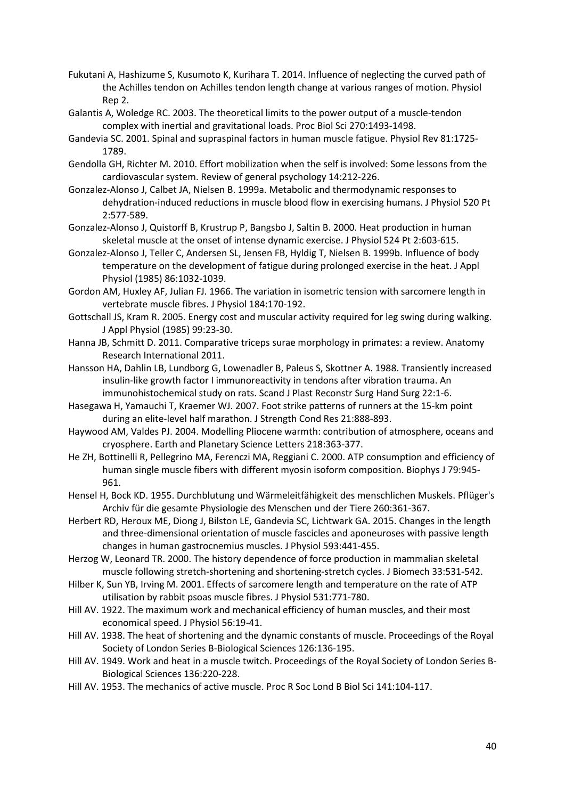- Fukutani A, Hashizume S, Kusumoto K, Kurihara T. 2014. Influence of neglecting the curved path of the Achilles tendon on Achilles tendon length change at various ranges of motion. Physiol Rep 2.
- Galantis A, Woledge RC. 2003. The theoretical limits to the power output of a muscle-tendon complex with inertial and gravitational loads. Proc Biol Sci 270:1493-1498.
- Gandevia SC. 2001. Spinal and supraspinal factors in human muscle fatigue. Physiol Rev 81:1725- 1789.
- Gendolla GH, Richter M. 2010. Effort mobilization when the self is involved: Some lessons from the cardiovascular system. Review of general psychology 14:212-226.
- Gonzalez-Alonso J, Calbet JA, Nielsen B. 1999a. Metabolic and thermodynamic responses to dehydration-induced reductions in muscle blood flow in exercising humans. J Physiol 520 Pt 2:577-589.
- Gonzalez-Alonso J, Quistorff B, Krustrup P, Bangsbo J, Saltin B. 2000. Heat production in human skeletal muscle at the onset of intense dynamic exercise. J Physiol 524 Pt 2:603-615.
- Gonzalez-Alonso J, Teller C, Andersen SL, Jensen FB, Hyldig T, Nielsen B. 1999b. Influence of body temperature on the development of fatigue during prolonged exercise in the heat. J Appl Physiol (1985) 86:1032-1039.
- Gordon AM, Huxley AF, Julian FJ. 1966. The variation in isometric tension with sarcomere length in vertebrate muscle fibres. J Physiol 184:170-192.
- Gottschall JS, Kram R. 2005. Energy cost and muscular activity required for leg swing during walking. J Appl Physiol (1985) 99:23-30.
- Hanna JB, Schmitt D. 2011. Comparative triceps surae morphology in primates: a review. Anatomy Research International 2011.
- Hansson HA, Dahlin LB, Lundborg G, Lowenadler B, Paleus S, Skottner A. 1988. Transiently increased insulin-like growth factor I immunoreactivity in tendons after vibration trauma. An immunohistochemical study on rats. Scand J Plast Reconstr Surg Hand Surg 22:1-6.
- Hasegawa H, Yamauchi T, Kraemer WJ. 2007. Foot strike patterns of runners at the 15-km point during an elite-level half marathon. J Strength Cond Res 21:888-893.
- Haywood AM, Valdes PJ. 2004. Modelling Pliocene warmth: contribution of atmosphere, oceans and cryosphere. Earth and Planetary Science Letters 218:363-377.
- He ZH, Bottinelli R, Pellegrino MA, Ferenczi MA, Reggiani C. 2000. ATP consumption and efficiency of human single muscle fibers with different myosin isoform composition. Biophys J 79:945- 961.
- Hensel H, Bock KD. 1955. Durchblutung und Wärmeleitfähigkeit des menschlichen Muskels. Pflüger's Archiv für die gesamte Physiologie des Menschen und der Tiere 260:361-367.
- Herbert RD, Heroux ME, Diong J, Bilston LE, Gandevia SC, Lichtwark GA. 2015. Changes in the length and three-dimensional orientation of muscle fascicles and aponeuroses with passive length changes in human gastrocnemius muscles. J Physiol 593:441-455.
- Herzog W, Leonard TR. 2000. The history dependence of force production in mammalian skeletal muscle following stretch-shortening and shortening-stretch cycles. J Biomech 33:531-542.
- Hilber K, Sun YB, Irving M. 2001. Effects of sarcomere length and temperature on the rate of ATP utilisation by rabbit psoas muscle fibres. J Physiol 531:771-780.
- Hill AV. 1922. The maximum work and mechanical efficiency of human muscles, and their most economical speed. J Physiol 56:19-41.
- Hill AV. 1938. The heat of shortening and the dynamic constants of muscle. Proceedings of the Royal Society of London Series B-Biological Sciences 126:136-195.
- Hill AV. 1949. Work and heat in a muscle twitch. Proceedings of the Royal Society of London Series B-Biological Sciences 136:220-228.
- Hill AV. 1953. The mechanics of active muscle. Proc R Soc Lond B Biol Sci 141:104-117.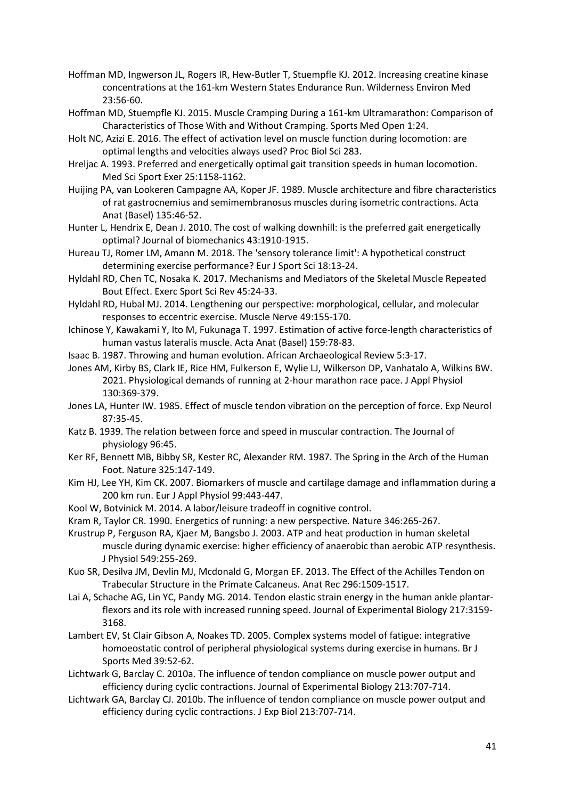- Hoffman MD, Ingwerson JL, Rogers IR, Hew-Butler T, Stuempfle KJ. 2012. Increasing creatine kinase concentrations at the 161-km Western States Endurance Run. Wilderness Environ Med 23:56-60.
- Hoffman MD, Stuempfle KJ. 2015. Muscle Cramping During a 161-km Ultramarathon: Comparison of Characteristics of Those With and Without Cramping. Sports Med Open 1:24.
- Holt NC, Azizi E. 2016. The effect of activation level on muscle function during locomotion: are optimal lengths and velocities always used? Proc Biol Sci 283.
- Hreljac A. 1993. Preferred and energetically optimal gait transition speeds in human locomotion. Med Sci Sport Exer 25:1158-1162.
- Huijing PA, van Lookeren Campagne AA, Koper JF. 1989. Muscle architecture and fibre characteristics of rat gastrocnemius and semimembranosus muscles during isometric contractions. Acta Anat (Basel) 135:46-52.
- Hunter L, Hendrix E, Dean J. 2010. The cost of walking downhill: is the preferred gait energetically optimal? Journal of biomechanics 43:1910-1915.
- Hureau TJ, Romer LM, Amann M. 2018. The 'sensory tolerance limit': A hypothetical construct determining exercise performance? Eur J Sport Sci 18:13-24.
- Hyldahl RD, Chen TC, Nosaka K. 2017. Mechanisms and Mediators of the Skeletal Muscle Repeated Bout Effect. Exerc Sport Sci Rev 45:24-33.
- Hyldahl RD, Hubal MJ. 2014. Lengthening our perspective: morphological, cellular, and molecular responses to eccentric exercise. Muscle Nerve 49:155-170.
- Ichinose Y, Kawakami Y, Ito M, Fukunaga T. 1997. Estimation of active force-length characteristics of human vastus lateralis muscle. Acta Anat (Basel) 159:78-83.
- Isaac B. 1987. Throwing and human evolution. African Archaeological Review 5:3-17.
- Jones AM, Kirby BS, Clark IE, Rice HM, Fulkerson E, Wylie LJ, Wilkerson DP, Vanhatalo A, Wilkins BW. 2021. Physiological demands of running at 2-hour marathon race pace. J Appl Physiol 130:369-379.
- Jones LA, Hunter IW. 1985. Effect of muscle tendon vibration on the perception of force. Exp Neurol 87:35-45.
- Katz B. 1939. The relation between force and speed in muscular contraction. The Journal of physiology 96:45.
- Ker RF, Bennett MB, Bibby SR, Kester RC, Alexander RM. 1987. The Spring in the Arch of the Human Foot. Nature 325:147-149.
- Kim HJ, Lee YH, Kim CK. 2007. Biomarkers of muscle and cartilage damage and inflammation during a 200 km run. Eur J Appl Physiol 99:443-447.
- Kool W, Botvinick M. 2014. A labor/leisure tradeoff in cognitive control.
- Kram R, Taylor CR. 1990. Energetics of running: a new perspective. Nature 346:265-267.
- Krustrup P, Ferguson RA, Kjaer M, Bangsbo J. 2003. ATP and heat production in human skeletal muscle during dynamic exercise: higher efficiency of anaerobic than aerobic ATP resynthesis. J Physiol 549:255-269.
- Kuo SR, Desilva JM, Devlin MJ, Mcdonald G, Morgan EF. 2013. The Effect of the Achilles Tendon on Trabecular Structure in the Primate Calcaneus. Anat Rec 296:1509-1517.
- Lai A, Schache AG, Lin YC, Pandy MG. 2014. Tendon elastic strain energy in the human ankle plantarflexors and its role with increased running speed. Journal of Experimental Biology 217:3159- 3168.
- Lambert EV, St Clair Gibson A, Noakes TD. 2005. Complex systems model of fatigue: integrative homoeostatic control of peripheral physiological systems during exercise in humans. Br J Sports Med 39:52-62.
- Lichtwark G, Barclay C. 2010a. The influence of tendon compliance on muscle power output and efficiency during cyclic contractions. Journal of Experimental Biology 213:707-714.
- Lichtwark GA, Barclay CJ. 2010b. The influence of tendon compliance on muscle power output and efficiency during cyclic contractions. J Exp Biol 213:707-714.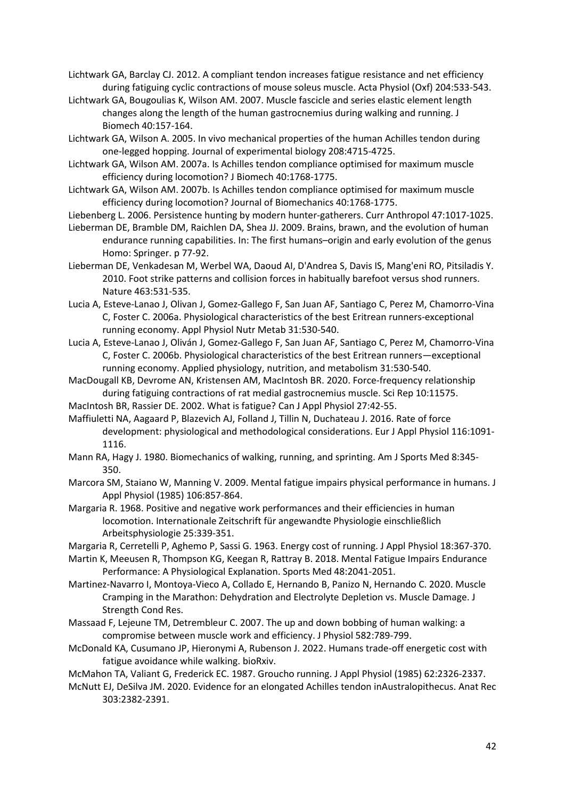Lichtwark GA, Barclay CJ. 2012. A compliant tendon increases fatigue resistance and net efficiency during fatiguing cyclic contractions of mouse soleus muscle. Acta Physiol (Oxf) 204:533-543.

- Lichtwark GA, Bougoulias K, Wilson AM. 2007. Muscle fascicle and series elastic element length changes along the length of the human gastrocnemius during walking and running. J Biomech 40:157-164.
- Lichtwark GA, Wilson A. 2005. In vivo mechanical properties of the human Achilles tendon during one-legged hopping. Journal of experimental biology 208:4715-4725.
- Lichtwark GA, Wilson AM. 2007a. Is Achilles tendon compliance optimised for maximum muscle efficiency during locomotion? J Biomech 40:1768-1775.
- Lichtwark GA, Wilson AM. 2007b. Is Achilles tendon compliance optimised for maximum muscle efficiency during locomotion? Journal of Biomechanics 40:1768-1775.

Liebenberg L. 2006. Persistence hunting by modern hunter-gatherers. Curr Anthropol 47:1017-1025.

Lieberman DE, Bramble DM, Raichlen DA, Shea JJ. 2009. Brains, brawn, and the evolution of human endurance running capabilities. In: The first humans–origin and early evolution of the genus Homo: Springer. p 77-92.

Lieberman DE, Venkadesan M, Werbel WA, Daoud AI, D'Andrea S, Davis IS, Mang'eni RO, Pitsiladis Y. 2010. Foot strike patterns and collision forces in habitually barefoot versus shod runners. Nature 463:531-535.

Lucia A, Esteve-Lanao J, Olivan J, Gomez-Gallego F, San Juan AF, Santiago C, Perez M, Chamorro-Vina C, Foster C. 2006a. Physiological characteristics of the best Eritrean runners-exceptional running economy. Appl Physiol Nutr Metab 31:530-540.

Lucia A, Esteve-Lanao J, Oliván J, Gomez-Gallego F, San Juan AF, Santiago C, Perez M, Chamorro-Vina C, Foster C. 2006b. Physiological characteristics of the best Eritrean runners—exceptional running economy. Applied physiology, nutrition, and metabolism 31:530-540.

MacDougall KB, Devrome AN, Kristensen AM, MacIntosh BR. 2020. Force-frequency relationship during fatiguing contractions of rat medial gastrocnemius muscle. Sci Rep 10:11575.

MacIntosh BR, Rassier DE. 2002. What is fatigue? Can J Appl Physiol 27:42-55.

Maffiuletti NA, Aagaard P, Blazevich AJ, Folland J, Tillin N, Duchateau J. 2016. Rate of force development: physiological and methodological considerations. Eur J Appl Physiol 116:1091- 1116.

- Mann RA, Hagy J. 1980. Biomechanics of walking, running, and sprinting. Am J Sports Med 8:345- 350.
- Marcora SM, Staiano W, Manning V. 2009. Mental fatigue impairs physical performance in humans. J Appl Physiol (1985) 106:857-864.

Margaria R. 1968. Positive and negative work performances and their efficiencies in human locomotion. Internationale Zeitschrift für angewandte Physiologie einschließlich Arbeitsphysiologie 25:339-351.

Margaria R, Cerretelli P, Aghemo P, Sassi G. 1963. Energy cost of running. J Appl Physiol 18:367-370.

Martin K, Meeusen R, Thompson KG, Keegan R, Rattray B. 2018. Mental Fatigue Impairs Endurance Performance: A Physiological Explanation. Sports Med 48:2041-2051.

Martinez-Navarro I, Montoya-Vieco A, Collado E, Hernando B, Panizo N, Hernando C. 2020. Muscle Cramping in the Marathon: Dehydration and Electrolyte Depletion vs. Muscle Damage. J Strength Cond Res.

- Massaad F, Lejeune TM, Detrembleur C. 2007. The up and down bobbing of human walking: a compromise between muscle work and efficiency. J Physiol 582:789-799.
- McDonald KA, Cusumano JP, Hieronymi A, Rubenson J. 2022. Humans trade-off energetic cost with fatigue avoidance while walking. bioRxiv.

McMahon TA, Valiant G, Frederick EC. 1987. Groucho running. J Appl Physiol (1985) 62:2326-2337.

McNutt EJ, DeSilva JM. 2020. Evidence for an elongated Achilles tendon inAustralopithecus. Anat Rec 303:2382-2391.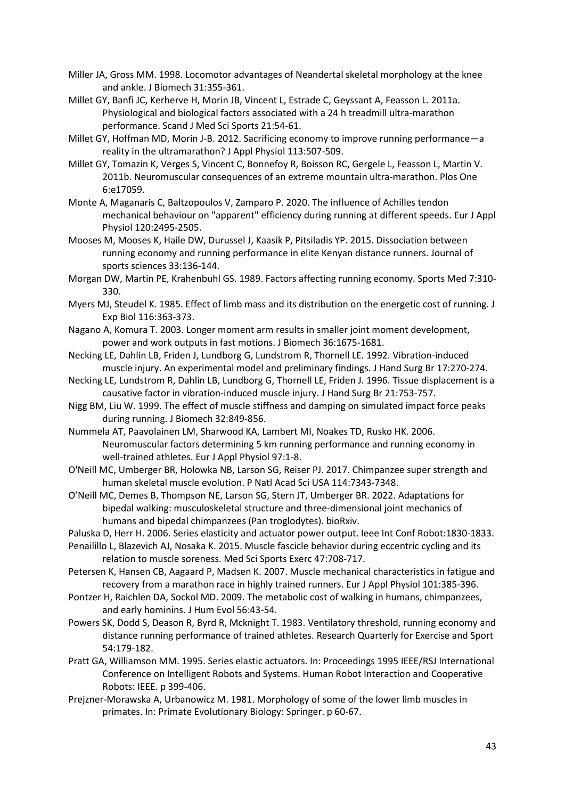- Miller JA, Gross MM. 1998. Locomotor advantages of Neandertal skeletal morphology at the knee and ankle. J Biomech 31:355-361.
- Millet GY, Banfi JC, Kerherve H, Morin JB, Vincent L, Estrade C, Geyssant A, Feasson L. 2011a. Physiological and biological factors associated with a 24 h treadmill ultra-marathon performance. Scand J Med Sci Sports 21:54-61.
- Millet GY, Hoffman MD, Morin J-B. 2012. Sacrificing economy to improve running performance—a reality in the ultramarathon? J Appl Physiol 113:507-509.
- Millet GY, Tomazin K, Verges S, Vincent C, Bonnefoy R, Boisson RC, Gergele L, Feasson L, Martin V. 2011b. Neuromuscular consequences of an extreme mountain ultra-marathon. Plos One 6:e17059.
- Monte A, Maganaris C, Baltzopoulos V, Zamparo P. 2020. The influence of Achilles tendon mechanical behaviour on "apparent" efficiency during running at different speeds. Eur J Appl Physiol 120:2495-2505.
- Mooses M, Mooses K, Haile DW, Durussel J, Kaasik P, Pitsiladis YP. 2015. Dissociation between running economy and running performance in elite Kenyan distance runners. Journal of sports sciences 33:136-144.
- Morgan DW, Martin PE, Krahenbuhl GS. 1989. Factors affecting running economy. Sports Med 7:310- 330.
- Myers MJ, Steudel K. 1985. Effect of limb mass and its distribution on the energetic cost of running. J Exp Biol 116:363-373.
- Nagano A, Komura T. 2003. Longer moment arm results in smaller joint moment development, power and work outputs in fast motions. J Biomech 36:1675-1681.
- Necking LE, Dahlin LB, Friden J, Lundborg G, Lundstrom R, Thornell LE. 1992. Vibration-induced muscle injury. An experimental model and preliminary findings. J Hand Surg Br 17:270-274.
- Necking LE, Lundstrom R, Dahlin LB, Lundborg G, Thornell LE, Friden J. 1996. Tissue displacement is a causative factor in vibration-induced muscle injury. J Hand Surg Br 21:753-757.
- Nigg BM, Liu W. 1999. The effect of muscle stiffness and damping on simulated impact force peaks during running. J Biomech 32:849-856.
- Nummela AT, Paavolainen LM, Sharwood KA, Lambert MI, Noakes TD, Rusko HK. 2006. Neuromuscular factors determining 5 km running performance and running economy in well-trained athletes. Eur J Appl Physiol 97:1-8.
- O'Neill MC, Umberger BR, Holowka NB, Larson SG, Reiser PJ. 2017. Chimpanzee super strength and human skeletal muscle evolution. P Natl Acad Sci USA 114:7343-7348.
- O'Neill MC, Demes B, Thompson NE, Larson SG, Stern JT, Umberger BR. 2022. Adaptations for bipedal walking: musculoskeletal structure and three-dimensional joint mechanics of humans and bipedal chimpanzees (Pan troglodytes). bioRxiv.
- Paluska D, Herr H. 2006. Series elasticity and actuator power output. Ieee Int Conf Robot:1830-1833.
- Penailillo L, Blazevich AJ, Nosaka K. 2015. Muscle fascicle behavior during eccentric cycling and its relation to muscle soreness. Med Sci Sports Exerc 47:708-717.
- Petersen K, Hansen CB, Aagaard P, Madsen K. 2007. Muscle mechanical characteristics in fatigue and recovery from a marathon race in highly trained runners. Eur J Appl Physiol 101:385-396.
- Pontzer H, Raichlen DA, Sockol MD. 2009. The metabolic cost of walking in humans, chimpanzees, and early hominins. J Hum Evol 56:43-54.
- Powers SK, Dodd S, Deason R, Byrd R, Mcknight T. 1983. Ventilatory threshold, running economy and distance running performance of trained athletes. Research Quarterly for Exercise and Sport 54:179-182.
- Pratt GA, Williamson MM. 1995. Series elastic actuators. In: Proceedings 1995 IEEE/RSJ International Conference on Intelligent Robots and Systems. Human Robot Interaction and Cooperative Robots: IEEE. p 399-406.
- Prejzner-Morawska A, Urbanowicz M. 1981. Morphology of some of the lower limb muscles in primates. In: Primate Evolutionary Biology: Springer. p 60-67.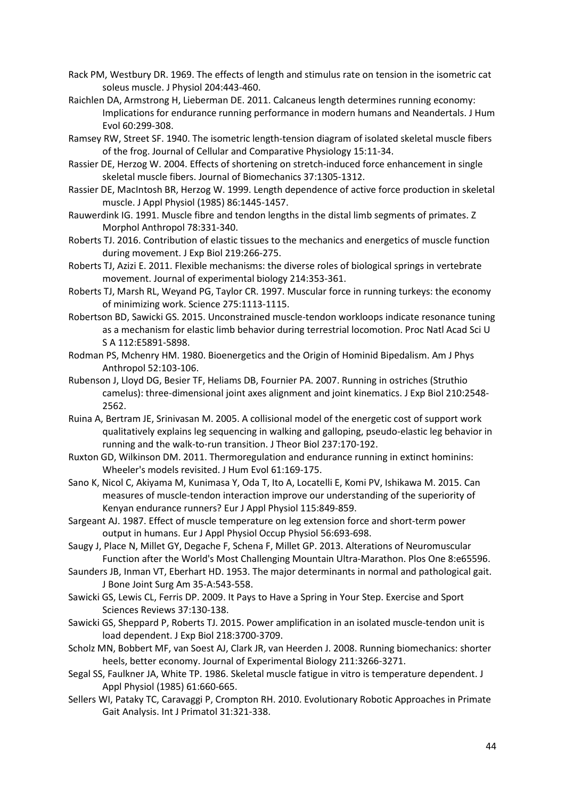- Rack PM, Westbury DR. 1969. The effects of length and stimulus rate on tension in the isometric cat soleus muscle. J Physiol 204:443-460.
- Raichlen DA, Armstrong H, Lieberman DE. 2011. Calcaneus length determines running economy: Implications for endurance running performance in modern humans and Neandertals. J Hum Evol 60:299-308.
- Ramsey RW, Street SF. 1940. The isometric length-tension diagram of isolated skeletal muscle fibers of the frog. Journal of Cellular and Comparative Physiology 15:11-34.
- Rassier DE, Herzog W. 2004. Effects of shortening on stretch-induced force enhancement in single skeletal muscle fibers. Journal of Biomechanics 37:1305-1312.
- Rassier DE, MacIntosh BR, Herzog W. 1999. Length dependence of active force production in skeletal muscle. J Appl Physiol (1985) 86:1445-1457.
- Rauwerdink IG. 1991. Muscle fibre and tendon lengths in the distal limb segments of primates. Z Morphol Anthropol 78:331-340.
- Roberts TJ. 2016. Contribution of elastic tissues to the mechanics and energetics of muscle function during movement. J Exp Biol 219:266-275.
- Roberts TJ, Azizi E. 2011. Flexible mechanisms: the diverse roles of biological springs in vertebrate movement. Journal of experimental biology 214:353-361.
- Roberts TJ, Marsh RL, Weyand PG, Taylor CR. 1997. Muscular force in running turkeys: the economy of minimizing work. Science 275:1113-1115.
- Robertson BD, Sawicki GS. 2015. Unconstrained muscle-tendon workloops indicate resonance tuning as a mechanism for elastic limb behavior during terrestrial locomotion. Proc Natl Acad Sci U S A 112:E5891-5898.
- Rodman PS, Mchenry HM. 1980. Bioenergetics and the Origin of Hominid Bipedalism. Am J Phys Anthropol 52:103-106.
- Rubenson J, Lloyd DG, Besier TF, Heliams DB, Fournier PA. 2007. Running in ostriches (Struthio camelus): three-dimensional joint axes alignment and joint kinematics. J Exp Biol 210:2548- 2562.
- Ruina A, Bertram JE, Srinivasan M. 2005. A collisional model of the energetic cost of support work qualitatively explains leg sequencing in walking and galloping, pseudo-elastic leg behavior in running and the walk-to-run transition. J Theor Biol 237:170-192.
- Ruxton GD, Wilkinson DM. 2011. Thermoregulation and endurance running in extinct hominins: Wheeler's models revisited. J Hum Evol 61:169-175.
- Sano K, Nicol C, Akiyama M, Kunimasa Y, Oda T, Ito A, Locatelli E, Komi PV, Ishikawa M. 2015. Can measures of muscle-tendon interaction improve our understanding of the superiority of Kenyan endurance runners? Eur J Appl Physiol 115:849-859.
- Sargeant AJ. 1987. Effect of muscle temperature on leg extension force and short-term power output in humans. Eur J Appl Physiol Occup Physiol 56:693-698.
- Saugy J, Place N, Millet GY, Degache F, Schena F, Millet GP. 2013. Alterations of Neuromuscular Function after the World's Most Challenging Mountain Ultra-Marathon. Plos One 8:e65596.
- Saunders JB, Inman VT, Eberhart HD. 1953. The major determinants in normal and pathological gait. J Bone Joint Surg Am 35-A:543-558.
- Sawicki GS, Lewis CL, Ferris DP. 2009. It Pays to Have a Spring in Your Step. Exercise and Sport Sciences Reviews 37:130-138.
- Sawicki GS, Sheppard P, Roberts TJ. 2015. Power amplification in an isolated muscle-tendon unit is load dependent. J Exp Biol 218:3700-3709.
- Scholz MN, Bobbert MF, van Soest AJ, Clark JR, van Heerden J. 2008. Running biomechanics: shorter heels, better economy. Journal of Experimental Biology 211:3266-3271.
- Segal SS, Faulkner JA, White TP. 1986. Skeletal muscle fatigue in vitro is temperature dependent. J Appl Physiol (1985) 61:660-665.
- Sellers WI, Pataky TC, Caravaggi P, Crompton RH. 2010. Evolutionary Robotic Approaches in Primate Gait Analysis. Int J Primatol 31:321-338.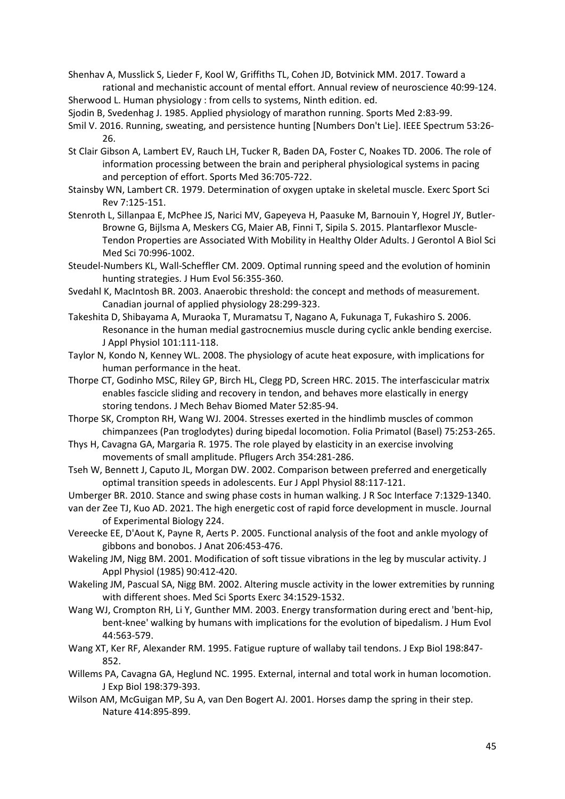Shenhav A, Musslick S, Lieder F, Kool W, Griffiths TL, Cohen JD, Botvinick MM. 2017. Toward a rational and mechanistic account of mental effort. Annual review of neuroscience 40:99-124. Sherwood L. Human physiology : from cells to systems, Ninth edition. ed.

Sjodin B, Svedenhag J. 1985. Applied physiology of marathon running. Sports Med 2:83-99.

- Smil V. 2016. Running, sweating, and persistence hunting [Numbers Don't Lie]. IEEE Spectrum 53:26- 26.
- St Clair Gibson A, Lambert EV, Rauch LH, Tucker R, Baden DA, Foster C, Noakes TD. 2006. The role of information processing between the brain and peripheral physiological systems in pacing and perception of effort. Sports Med 36:705-722.
- Stainsby WN, Lambert CR. 1979. Determination of oxygen uptake in skeletal muscle. Exerc Sport Sci Rev 7:125-151.
- Stenroth L, Sillanpaa E, McPhee JS, Narici MV, Gapeyeva H, Paasuke M, Barnouin Y, Hogrel JY, Butler-Browne G, Bijlsma A, Meskers CG, Maier AB, Finni T, Sipila S. 2015. Plantarflexor Muscle-Tendon Properties are Associated With Mobility in Healthy Older Adults. J Gerontol A Biol Sci Med Sci 70:996-1002.
- Steudel-Numbers KL, Wall-Scheffler CM. 2009. Optimal running speed and the evolution of hominin hunting strategies. J Hum Evol 56:355-360.
- Svedahl K, MacIntosh BR. 2003. Anaerobic threshold: the concept and methods of measurement. Canadian journal of applied physiology 28:299-323.
- Takeshita D, Shibayama A, Muraoka T, Muramatsu T, Nagano A, Fukunaga T, Fukashiro S. 2006. Resonance in the human medial gastrocnemius muscle during cyclic ankle bending exercise. J Appl Physiol 101:111-118.
- Taylor N, Kondo N, Kenney WL. 2008. The physiology of acute heat exposure, with implications for human performance in the heat.
- Thorpe CT, Godinho MSC, Riley GP, Birch HL, Clegg PD, Screen HRC. 2015. The interfascicular matrix enables fascicle sliding and recovery in tendon, and behaves more elastically in energy storing tendons. J Mech Behav Biomed Mater 52:85-94.
- Thorpe SK, Crompton RH, Wang WJ. 2004. Stresses exerted in the hindlimb muscles of common chimpanzees (Pan troglodytes) during bipedal locomotion. Folia Primatol (Basel) 75:253-265.
- Thys H, Cavagna GA, Margaria R. 1975. The role played by elasticity in an exercise involving movements of small amplitude. Pflugers Arch 354:281-286.
- Tseh W, Bennett J, Caputo JL, Morgan DW. 2002. Comparison between preferred and energetically optimal transition speeds in adolescents. Eur J Appl Physiol 88:117-121.
- Umberger BR. 2010. Stance and swing phase costs in human walking. J R Soc Interface 7:1329-1340.
- van der Zee TJ, Kuo AD. 2021. The high energetic cost of rapid force development in muscle. Journal of Experimental Biology 224.
- Vereecke EE, D'Aout K, Payne R, Aerts P. 2005. Functional analysis of the foot and ankle myology of gibbons and bonobos. J Anat 206:453-476.
- Wakeling JM, Nigg BM. 2001. Modification of soft tissue vibrations in the leg by muscular activity. J Appl Physiol (1985) 90:412-420.
- Wakeling JM, Pascual SA, Nigg BM. 2002. Altering muscle activity in the lower extremities by running with different shoes. Med Sci Sports Exerc 34:1529-1532.
- Wang WJ, Crompton RH, Li Y, Gunther MM. 2003. Energy transformation during erect and 'bent-hip, bent-knee' walking by humans with implications for the evolution of bipedalism. J Hum Evol 44:563-579.
- Wang XT, Ker RF, Alexander RM. 1995. Fatigue rupture of wallaby tail tendons. J Exp Biol 198:847- 852.
- Willems PA, Cavagna GA, Heglund NC. 1995. External, internal and total work in human locomotion. J Exp Biol 198:379-393.
- Wilson AM, McGuigan MP, Su A, van Den Bogert AJ. 2001. Horses damp the spring in their step. Nature 414:895-899.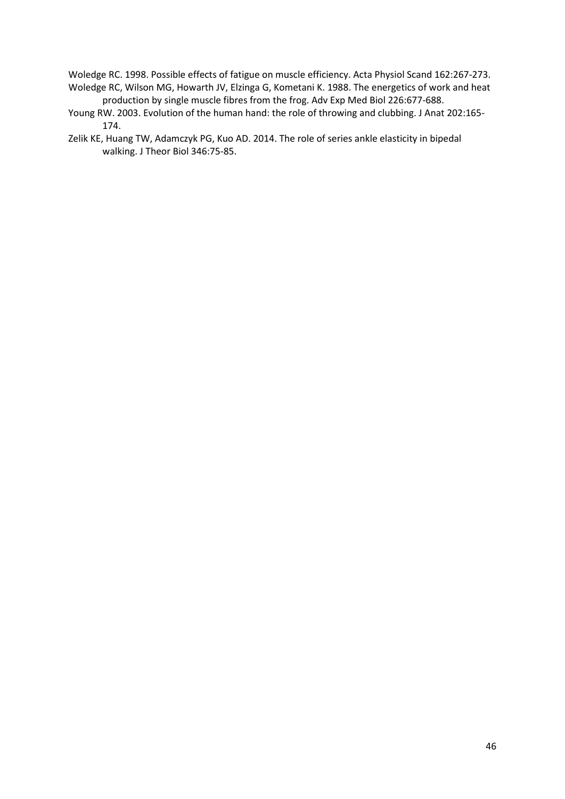Woledge RC. 1998. Possible effects of fatigue on muscle efficiency. Acta Physiol Scand 162:267-273. Woledge RC, Wilson MG, Howarth JV, Elzinga G, Kometani K. 1988. The energetics of work and heat production by single muscle fibres from the frog. Adv Exp Med Biol 226:677-688.

- Young RW. 2003. Evolution of the human hand: the role of throwing and clubbing. J Anat 202:165- 174.
- Zelik KE, Huang TW, Adamczyk PG, Kuo AD. 2014. The role of series ankle elasticity in bipedal walking. J Theor Biol 346:75-85.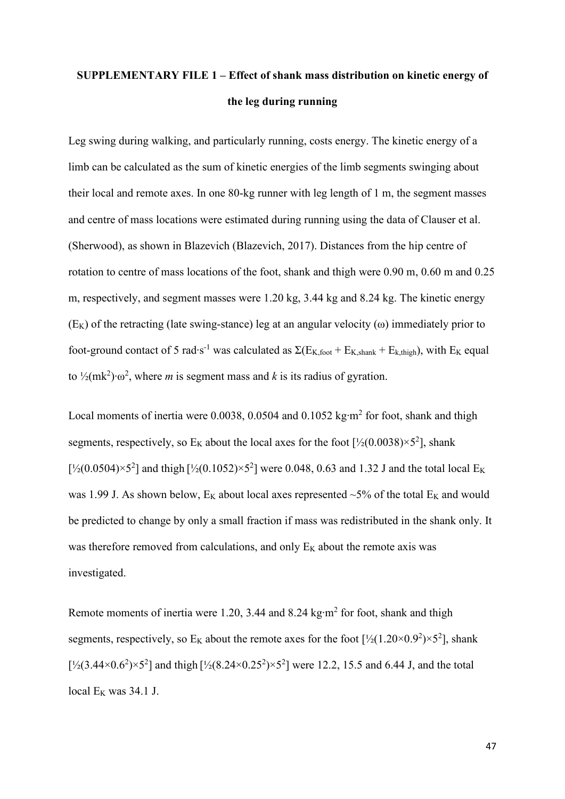## **SUPPLEMENTARY FILE 1 – Effect of shank mass distribution on kinetic energy of the leg during running**

Leg swing during walking, and particularly running, costs energy. The kinetic energy of a limb can be calculated as the sum of kinetic energies of the limb segments swinging about their local and remote axes. In one 80-kg runner with leg length of 1 m, the segment masses and centre of mass locations were estimated during running using the data of Clauser et al. (Sherwood), as shown in Blazevich (Blazevich, 2017). Distances from the hip centre of rotation to centre of mass locations of the foot, shank and thigh were 0.90 m, 0.60 m and 0.25 m, respectively, and segment masses were 1.20 kg, 3.44 kg and 8.24 kg. The kinetic energy  $(E_K)$  of the retracting (late swing-stance) leg at an angular velocity ( $\omega$ ) immediately prior to foot-ground contact of 5 rad∙s<sup>-1</sup> was calculated as  $\Sigma(E_{K,foot} + E_{K,shank} + E_{k,thigh})$ , with E<sub>K</sub> equal to <sup>1</sup>/<sub>2</sub>(mk<sup>2</sup>)⋅ω<sup>2</sup>, where *m* is segment mass and *k* is its radius of gyration.

Local moments of inertia were 0.0038, 0.0504 and 0.1052 kg⋅m<sup>2</sup> for foot, shank and thigh segments, respectively, so  $E_K$  about the local axes for the foot  $[\frac{1}{2}(0.0038) \times 5^2]$ , shank [ $\frac{1}{2}(0.0504) \times 5^2$ ] and thigh [ $\frac{1}{2}(0.1052) \times 5^2$ ] were 0.048, 0.63 and 1.32 J and the total local E<sub>K</sub> was 1.99 J. As shown below,  $E_K$  about local axes represented  $\sim$ 5% of the total  $E_K$  and would be predicted to change by only a small fraction if mass was redistributed in the shank only. It was therefore removed from calculations, and only  $E<sub>K</sub>$  about the remote axis was investigated.

Remote moments of inertia were 1.20, 3.44 and 8.24 kg⋅m<sup>2</sup> for foot, shank and thigh segments, respectively, so  $E_K$  about the remote axes for the foot  $[\frac{1}{2}(1.20 \times 0.9^2) \times 5^2]$ , shank  $[\frac{1}{2}(3.44 \times 0.6^2) \times 5^2]$  and thigh  $[\frac{1}{2}(8.24 \times 0.25^2) \times 5^2]$  were 12.2, 15.5 and 6.44 J, and the total local  $E_K$  was 34.1 J.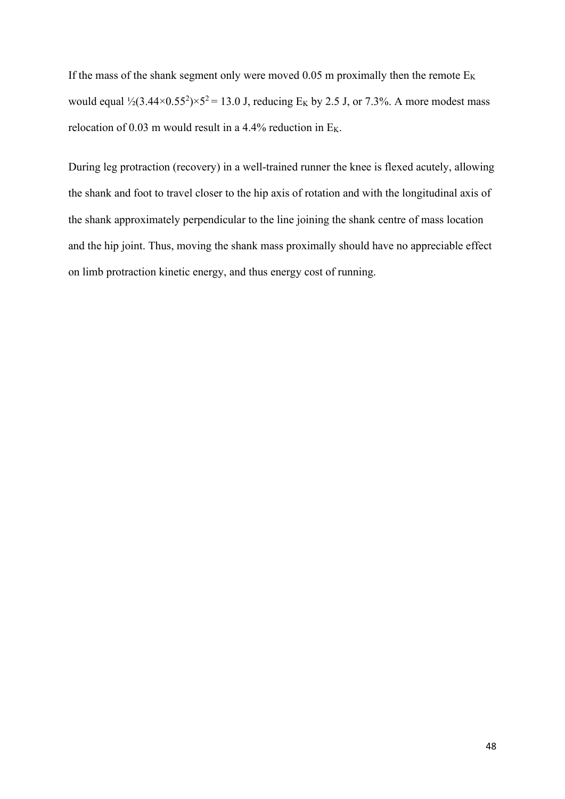If the mass of the shank segment only were moved  $0.05$  m proximally then the remote  $E_K$ would equal  $\frac{1}{2}(3.44 \times 0.55^2) \times 5^2 = 13.0$  J, reducing E<sub>K</sub> by 2.5 J, or 7.3%. A more modest mass relocation of 0.03 m would result in a 4.4% reduction in  $E_K$ .

During leg protraction (recovery) in a well-trained runner the knee is flexed acutely, allowing the shank and foot to travel closer to the hip axis of rotation and with the longitudinal axis of the shank approximately perpendicular to the line joining the shank centre of mass location and the hip joint. Thus, moving the shank mass proximally should have no appreciable effect on limb protraction kinetic energy, and thus energy cost of running.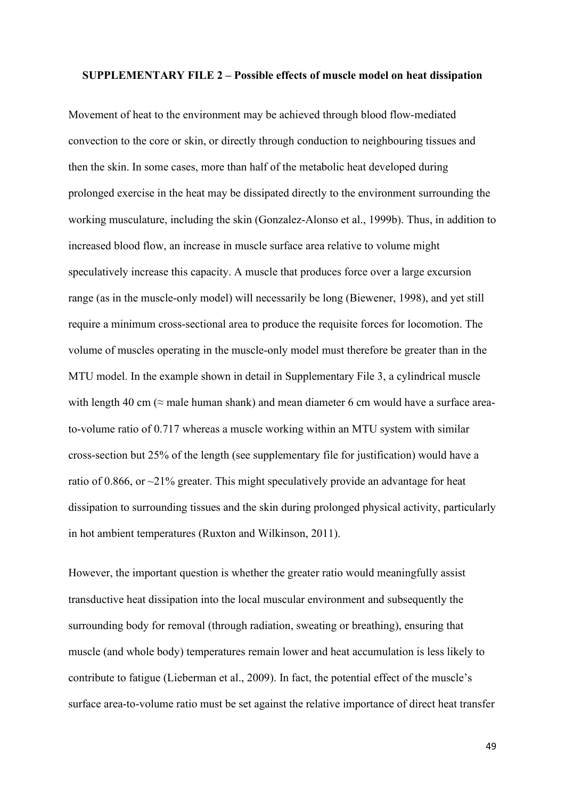#### **SUPPLEMENTARY FILE 2 – Possible effects of muscle model on heat dissipation**

Movement of heat to the environment may be achieved through blood flow-mediated convection to the core or skin, or directly through conduction to neighbouring tissues and then the skin. In some cases, more than half of the metabolic heat developed during prolonged exercise in the heat may be dissipated directly to the environment surrounding the working musculature, including the skin (Gonzalez-Alonso et al., 1999b). Thus, in addition to increased blood flow, an increase in muscle surface area relative to volume might speculatively increase this capacity. A muscle that produces force over a large excursion range (as in the muscle-only model) will necessarily be long (Biewener, 1998), and yet still require a minimum cross-sectional area to produce the requisite forces for locomotion. The volume of muscles operating in the muscle-only model must therefore be greater than in the MTU model. In the example shown in detail in Supplementary File 3, a cylindrical muscle with length 40 cm ( $\approx$  male human shank) and mean diameter 6 cm would have a surface areato-volume ratio of 0.717 whereas a muscle working within an MTU system with similar cross-section but 25% of the length (see supplementary file for justification) would have a ratio of 0.866, or  $\sim$ 21% greater. This might speculatively provide an advantage for heat dissipation to surrounding tissues and the skin during prolonged physical activity, particularly in hot ambient temperatures (Ruxton and Wilkinson, 2011).

However, the important question is whether the greater ratio would meaningfully assist transductive heat dissipation into the local muscular environment and subsequently the surrounding body for removal (through radiation, sweating or breathing), ensuring that muscle (and whole body) temperatures remain lower and heat accumulation is less likely to contribute to fatigue (Lieberman et al., 2009). In fact, the potential effect of the muscle's surface area-to-volume ratio must be set against the relative importance of direct heat transfer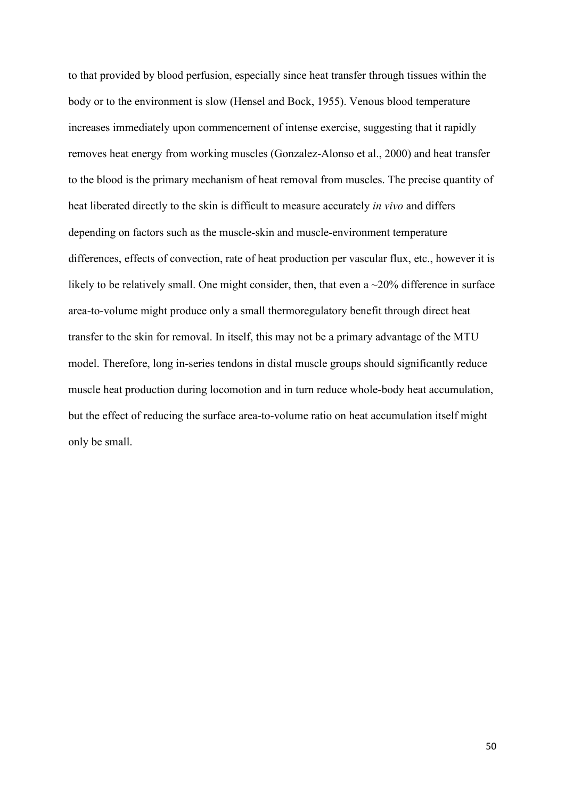to that provided by blood perfusion, especially since heat transfer through tissues within the body or to the environment is slow (Hensel and Bock, 1955). Venous blood temperature increases immediately upon commencement of intense exercise, suggesting that it rapidly removes heat energy from working muscles (Gonzalez-Alonso et al., 2000) and heat transfer to the blood is the primary mechanism of heat removal from muscles. The precise quantity of heat liberated directly to the skin is difficult to measure accurately *in vivo* and differs depending on factors such as the muscle-skin and muscle-environment temperature differences, effects of convection, rate of heat production per vascular flux, etc., however it is likely to be relatively small. One might consider, then, that even a  $\sim$ 20% difference in surface area-to-volume might produce only a small thermoregulatory benefit through direct heat transfer to the skin for removal. In itself, this may not be a primary advantage of the MTU model. Therefore, long in-series tendons in distal muscle groups should significantly reduce muscle heat production during locomotion and in turn reduce whole-body heat accumulation, but the effect of reducing the surface area-to-volume ratio on heat accumulation itself might only be small.